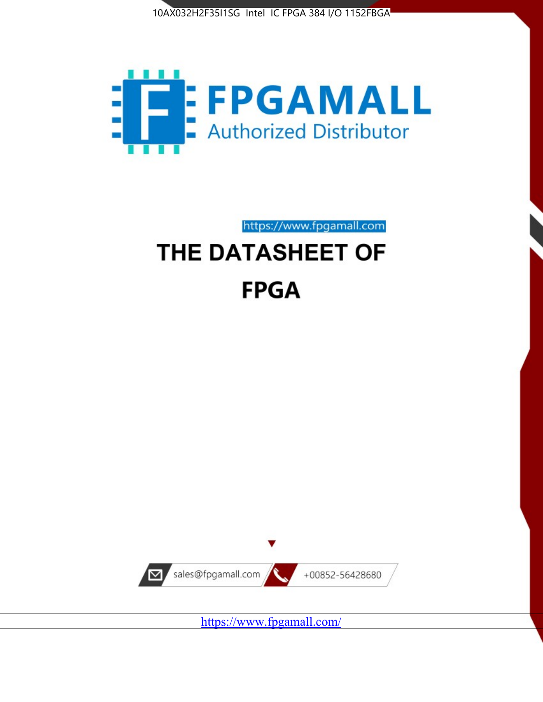



https://www.fpgamall.com THE DATASHEET OF

# **FPGA**



<https://www.fpgamall.com/>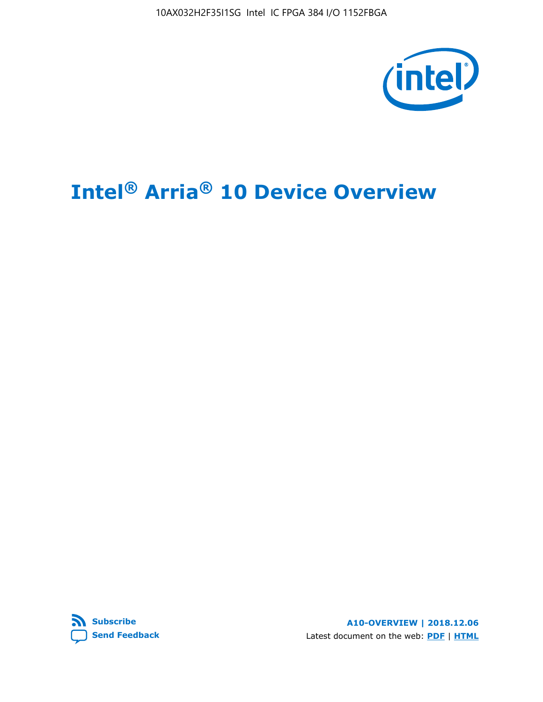

# **Intel® Arria® 10 Device Overview**



**A10-OVERVIEW | 2018.12.06** Latest document on the web: **[PDF](https://www.intel.com/content/dam/www/programmable/us/en/pdfs/literature/hb/arria-10/a10_overview.pdf)** | **[HTML](https://www.intel.com/content/www/us/en/programmable/documentation/sam1403480274650.html)**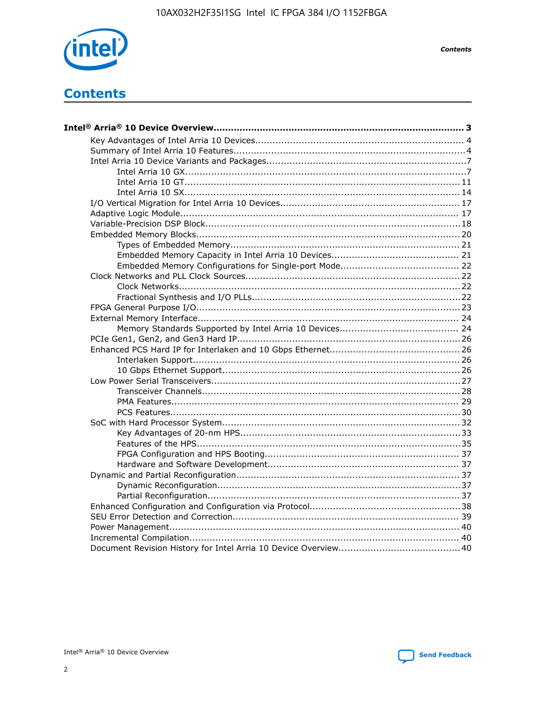

**Contents** 

# **Contents**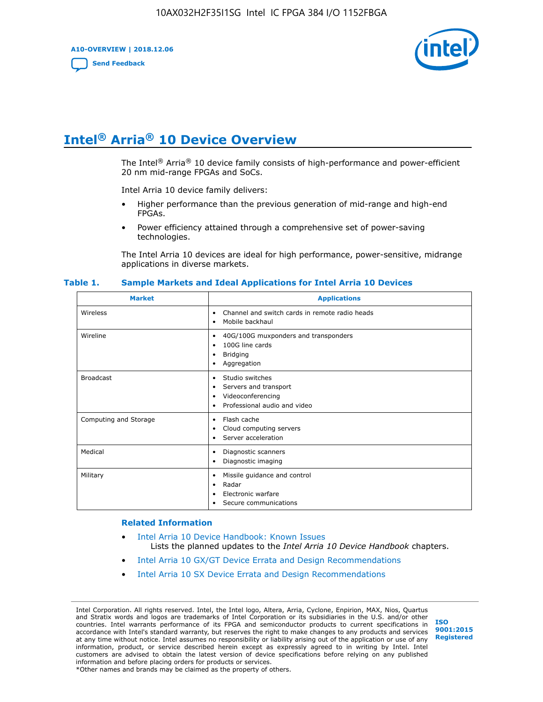**A10-OVERVIEW | 2018.12.06**

**[Send Feedback](mailto:FPGAtechdocfeedback@intel.com?subject=Feedback%20on%20Intel%20Arria%2010%20Device%20Overview%20(A10-OVERVIEW%202018.12.06)&body=We%20appreciate%20your%20feedback.%20In%20your%20comments,%20also%20specify%20the%20page%20number%20or%20paragraph.%20Thank%20you.)**



# **Intel® Arria® 10 Device Overview**

The Intel<sup>®</sup> Arria<sup>®</sup> 10 device family consists of high-performance and power-efficient 20 nm mid-range FPGAs and SoCs.

Intel Arria 10 device family delivers:

- Higher performance than the previous generation of mid-range and high-end FPGAs.
- Power efficiency attained through a comprehensive set of power-saving technologies.

The Intel Arria 10 devices are ideal for high performance, power-sensitive, midrange applications in diverse markets.

| <b>Market</b>         | <b>Applications</b>                                                                                               |
|-----------------------|-------------------------------------------------------------------------------------------------------------------|
| Wireless              | Channel and switch cards in remote radio heads<br>٠<br>Mobile backhaul<br>٠                                       |
| Wireline              | 40G/100G muxponders and transponders<br>٠<br>100G line cards<br>٠<br><b>Bridging</b><br>٠<br>Aggregation<br>٠     |
| <b>Broadcast</b>      | Studio switches<br>٠<br>Servers and transport<br>٠<br>Videoconferencing<br>٠<br>Professional audio and video<br>٠ |
| Computing and Storage | Flash cache<br>٠<br>Cloud computing servers<br>٠<br>Server acceleration<br>٠                                      |
| Medical               | Diagnostic scanners<br>٠<br>Diagnostic imaging<br>٠                                                               |
| Military              | Missile guidance and control<br>٠<br>Radar<br>٠<br>Electronic warfare<br>٠<br>Secure communications<br>٠          |

#### **Table 1. Sample Markets and Ideal Applications for Intel Arria 10 Devices**

#### **Related Information**

- [Intel Arria 10 Device Handbook: Known Issues](http://www.altera.com/support/kdb/solutions/rd07302013_646.html) Lists the planned updates to the *Intel Arria 10 Device Handbook* chapters.
- [Intel Arria 10 GX/GT Device Errata and Design Recommendations](https://www.intel.com/content/www/us/en/programmable/documentation/agz1493851706374.html#yqz1494433888646)
- [Intel Arria 10 SX Device Errata and Design Recommendations](https://www.intel.com/content/www/us/en/programmable/documentation/cru1462832385668.html#cru1462832558642)

Intel Corporation. All rights reserved. Intel, the Intel logo, Altera, Arria, Cyclone, Enpirion, MAX, Nios, Quartus and Stratix words and logos are trademarks of Intel Corporation or its subsidiaries in the U.S. and/or other countries. Intel warrants performance of its FPGA and semiconductor products to current specifications in accordance with Intel's standard warranty, but reserves the right to make changes to any products and services at any time without notice. Intel assumes no responsibility or liability arising out of the application or use of any information, product, or service described herein except as expressly agreed to in writing by Intel. Intel customers are advised to obtain the latest version of device specifications before relying on any published information and before placing orders for products or services. \*Other names and brands may be claimed as the property of others.

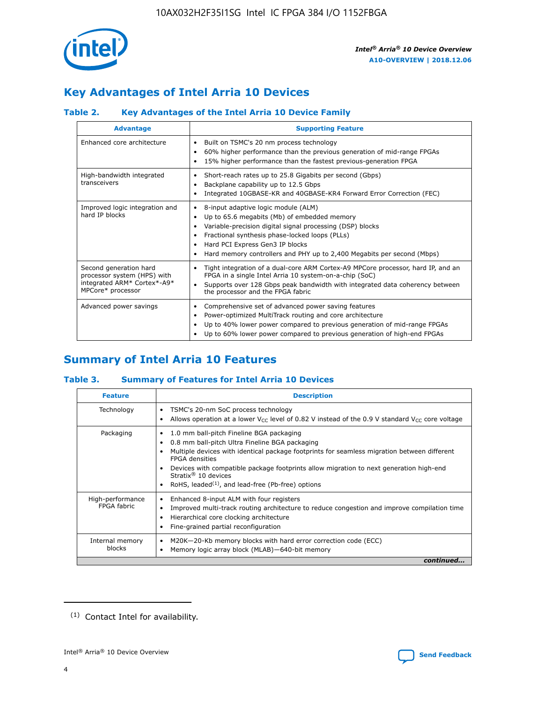

## **Key Advantages of Intel Arria 10 Devices**

## **Table 2. Key Advantages of the Intel Arria 10 Device Family**

| <b>Advantage</b>                                                                                          | <b>Supporting Feature</b>                                                                                                                                                                                                                                                                                                |  |  |  |  |  |  |
|-----------------------------------------------------------------------------------------------------------|--------------------------------------------------------------------------------------------------------------------------------------------------------------------------------------------------------------------------------------------------------------------------------------------------------------------------|--|--|--|--|--|--|
| Enhanced core architecture                                                                                | Built on TSMC's 20 nm process technology<br>٠<br>60% higher performance than the previous generation of mid-range FPGAs<br>٠<br>15% higher performance than the fastest previous-generation FPGA<br>٠                                                                                                                    |  |  |  |  |  |  |
| High-bandwidth integrated<br>transceivers                                                                 | Short-reach rates up to 25.8 Gigabits per second (Gbps)<br>٠<br>Backplane capability up to 12.5 Gbps<br>٠<br>Integrated 10GBASE-KR and 40GBASE-KR4 Forward Error Correction (FEC)<br>٠                                                                                                                                   |  |  |  |  |  |  |
| Improved logic integration and<br>hard IP blocks                                                          | 8-input adaptive logic module (ALM)<br>٠<br>Up to 65.6 megabits (Mb) of embedded memory<br>٠<br>Variable-precision digital signal processing (DSP) blocks<br>Fractional synthesis phase-locked loops (PLLs)<br>Hard PCI Express Gen3 IP blocks<br>Hard memory controllers and PHY up to 2,400 Megabits per second (Mbps) |  |  |  |  |  |  |
| Second generation hard<br>processor system (HPS) with<br>integrated ARM* Cortex*-A9*<br>MPCore* processor | Tight integration of a dual-core ARM Cortex-A9 MPCore processor, hard IP, and an<br>٠<br>FPGA in a single Intel Arria 10 system-on-a-chip (SoC)<br>Supports over 128 Gbps peak bandwidth with integrated data coherency between<br>$\bullet$<br>the processor and the FPGA fabric                                        |  |  |  |  |  |  |
| Advanced power savings                                                                                    | Comprehensive set of advanced power saving features<br>٠<br>Power-optimized MultiTrack routing and core architecture<br>٠<br>Up to 40% lower power compared to previous generation of mid-range FPGAs<br>Up to 60% lower power compared to previous generation of high-end FPGAs                                         |  |  |  |  |  |  |

## **Summary of Intel Arria 10 Features**

## **Table 3. Summary of Features for Intel Arria 10 Devices**

| <b>Feature</b>                  | <b>Description</b>                                                                                                                                                                                                                                                                                                                                                                                 |
|---------------------------------|----------------------------------------------------------------------------------------------------------------------------------------------------------------------------------------------------------------------------------------------------------------------------------------------------------------------------------------------------------------------------------------------------|
| Technology                      | TSMC's 20-nm SoC process technology<br>Allows operation at a lower $V_{\text{CC}}$ level of 0.82 V instead of the 0.9 V standard $V_{\text{CC}}$ core voltage                                                                                                                                                                                                                                      |
| Packaging                       | 1.0 mm ball-pitch Fineline BGA packaging<br>٠<br>0.8 mm ball-pitch Ultra Fineline BGA packaging<br>Multiple devices with identical package footprints for seamless migration between different<br><b>FPGA</b> densities<br>Devices with compatible package footprints allow migration to next generation high-end<br>Stratix $@10$ devices<br>RoHS, leaded $(1)$ , and lead-free (Pb-free) options |
| High-performance<br>FPGA fabric | Enhanced 8-input ALM with four registers<br>Improved multi-track routing architecture to reduce congestion and improve compilation time<br>Hierarchical core clocking architecture<br>Fine-grained partial reconfiguration                                                                                                                                                                         |
| Internal memory<br>blocks       | M20K-20-Kb memory blocks with hard error correction code (ECC)<br>Memory logic array block (MLAB)-640-bit memory                                                                                                                                                                                                                                                                                   |
|                                 | continued                                                                                                                                                                                                                                                                                                                                                                                          |



<sup>(1)</sup> Contact Intel for availability.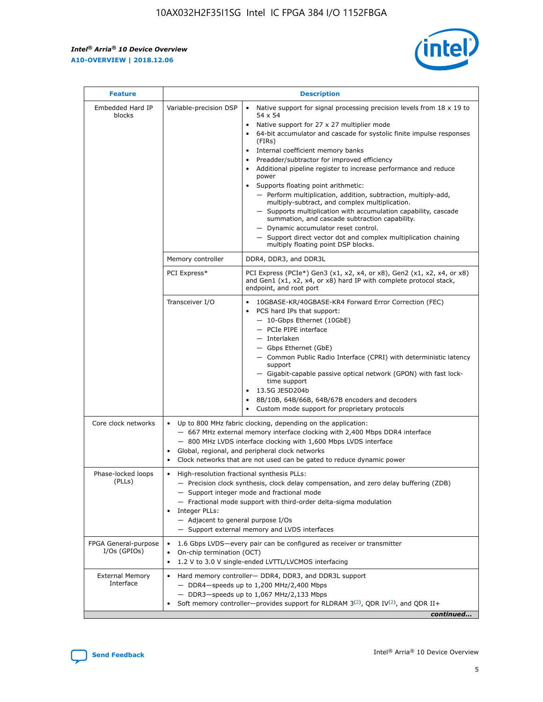r



| <b>Feature</b>                         | <b>Description</b>                                                                                             |                                                                                                                                                                                                                                                                                                                                                                                                                                                                                                                                                                                                                                                                                                                                                                                                                                                                  |  |  |  |  |  |
|----------------------------------------|----------------------------------------------------------------------------------------------------------------|------------------------------------------------------------------------------------------------------------------------------------------------------------------------------------------------------------------------------------------------------------------------------------------------------------------------------------------------------------------------------------------------------------------------------------------------------------------------------------------------------------------------------------------------------------------------------------------------------------------------------------------------------------------------------------------------------------------------------------------------------------------------------------------------------------------------------------------------------------------|--|--|--|--|--|
| Embedded Hard IP<br>blocks             | Variable-precision DSP                                                                                         | Native support for signal processing precision levels from $18 \times 19$ to<br>$\bullet$<br>54 x 54<br>Native support for 27 x 27 multiplier mode<br>$\bullet$<br>64-bit accumulator and cascade for systolic finite impulse responses<br>(FIRs)<br>Internal coefficient memory banks<br>$\bullet$<br>Preadder/subtractor for improved efficiency<br>Additional pipeline register to increase performance and reduce<br>power<br>Supports floating point arithmetic:<br>- Perform multiplication, addition, subtraction, multiply-add,<br>multiply-subtract, and complex multiplication.<br>- Supports multiplication with accumulation capability, cascade<br>summation, and cascade subtraction capability.<br>- Dynamic accumulator reset control.<br>- Support direct vector dot and complex multiplication chaining<br>multiply floating point DSP blocks. |  |  |  |  |  |
|                                        | Memory controller                                                                                              | DDR4, DDR3, and DDR3L                                                                                                                                                                                                                                                                                                                                                                                                                                                                                                                                                                                                                                                                                                                                                                                                                                            |  |  |  |  |  |
|                                        | PCI Express*                                                                                                   | PCI Express (PCIe*) Gen3 (x1, x2, x4, or x8), Gen2 (x1, x2, x4, or x8)<br>and Gen1 (x1, x2, x4, or x8) hard IP with complete protocol stack,<br>endpoint, and root port                                                                                                                                                                                                                                                                                                                                                                                                                                                                                                                                                                                                                                                                                          |  |  |  |  |  |
|                                        | Transceiver I/O                                                                                                | 10GBASE-KR/40GBASE-KR4 Forward Error Correction (FEC)<br>PCS hard IPs that support:<br>- 10-Gbps Ethernet (10GbE)<br>- PCIe PIPE interface<br>- Interlaken<br>- Gbps Ethernet (GbE)<br>- Common Public Radio Interface (CPRI) with deterministic latency<br>support<br>- Gigabit-capable passive optical network (GPON) with fast lock-<br>time support<br>13.5G JESD204b<br>$\bullet$<br>8B/10B, 64B/66B, 64B/67B encoders and decoders<br>Custom mode support for proprietary protocols                                                                                                                                                                                                                                                                                                                                                                        |  |  |  |  |  |
| Core clock networks                    | $\bullet$                                                                                                      | Up to 800 MHz fabric clocking, depending on the application:<br>- 667 MHz external memory interface clocking with 2,400 Mbps DDR4 interface<br>- 800 MHz LVDS interface clocking with 1,600 Mbps LVDS interface<br>Global, regional, and peripheral clock networks<br>Clock networks that are not used can be gated to reduce dynamic power                                                                                                                                                                                                                                                                                                                                                                                                                                                                                                                      |  |  |  |  |  |
| Phase-locked loops<br>(PLLs)           | High-resolution fractional synthesis PLLs:<br>$\bullet$<br>Integer PLLs:<br>- Adjacent to general purpose I/Os | - Precision clock synthesis, clock delay compensation, and zero delay buffering (ZDB)<br>- Support integer mode and fractional mode<br>- Fractional mode support with third-order delta-sigma modulation<br>- Support external memory and LVDS interfaces                                                                                                                                                                                                                                                                                                                                                                                                                                                                                                                                                                                                        |  |  |  |  |  |
| FPGA General-purpose<br>$I/Os$ (GPIOs) | On-chip termination (OCT)<br>٠<br>$\bullet$                                                                    | 1.6 Gbps LVDS-every pair can be configured as receiver or transmitter<br>1.2 V to 3.0 V single-ended LVTTL/LVCMOS interfacing                                                                                                                                                                                                                                                                                                                                                                                                                                                                                                                                                                                                                                                                                                                                    |  |  |  |  |  |
| <b>External Memory</b><br>Interface    | $\bullet$                                                                                                      | Hard memory controller- DDR4, DDR3, and DDR3L support<br>$-$ DDR4-speeds up to 1,200 MHz/2,400 Mbps<br>- DDR3-speeds up to 1,067 MHz/2,133 Mbps<br>Soft memory controller—provides support for RLDRAM $3^{(2)}$ , QDR IV $^{(2)}$ , and QDR II+<br>continued                                                                                                                                                                                                                                                                                                                                                                                                                                                                                                                                                                                                     |  |  |  |  |  |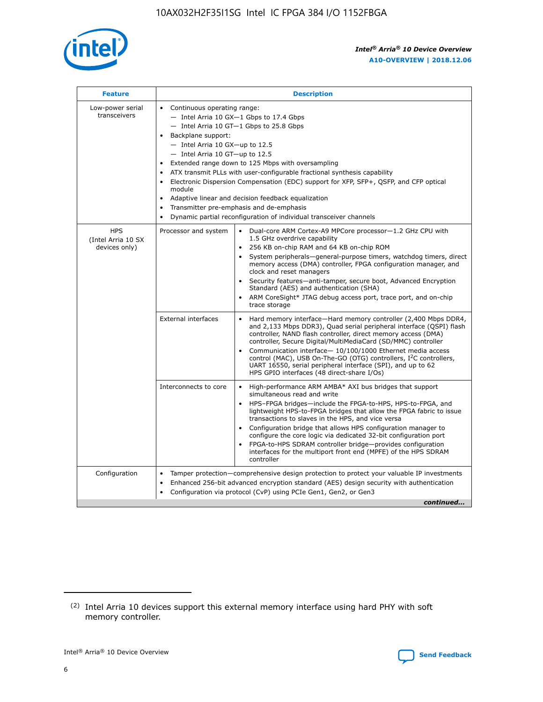

| <b>Feature</b>                                    | <b>Description</b>                                                                                                                                                                                                                                                                                                                                                                                                                                                                                                                                                                                                                             |
|---------------------------------------------------|------------------------------------------------------------------------------------------------------------------------------------------------------------------------------------------------------------------------------------------------------------------------------------------------------------------------------------------------------------------------------------------------------------------------------------------------------------------------------------------------------------------------------------------------------------------------------------------------------------------------------------------------|
| Low-power serial<br>transceivers                  | • Continuous operating range:<br>- Intel Arria 10 GX-1 Gbps to 17.4 Gbps<br>- Intel Arria 10 GT-1 Gbps to 25.8 Gbps<br>Backplane support:<br>$-$ Intel Arria 10 GX-up to 12.5<br>$-$ Intel Arria 10 GT-up to 12.5<br>Extended range down to 125 Mbps with oversampling<br>ATX transmit PLLs with user-configurable fractional synthesis capability<br>• Electronic Dispersion Compensation (EDC) support for XFP, SFP+, QSFP, and CFP optical<br>module<br>• Adaptive linear and decision feedback equalization<br>Transmitter pre-emphasis and de-emphasis<br>$\bullet$<br>Dynamic partial reconfiguration of individual transceiver channels |
| <b>HPS</b><br>(Intel Arria 10 SX<br>devices only) | Processor and system<br>Dual-core ARM Cortex-A9 MPCore processor-1.2 GHz CPU with<br>$\bullet$<br>1.5 GHz overdrive capability<br>256 KB on-chip RAM and 64 KB on-chip ROM<br>$\bullet$<br>System peripherals-general-purpose timers, watchdog timers, direct<br>memory access (DMA) controller, FPGA configuration manager, and<br>clock and reset managers<br>• Security features—anti-tamper, secure boot, Advanced Encryption<br>Standard (AES) and authentication (SHA)<br>ARM CoreSight* JTAG debug access port, trace port, and on-chip<br>trace storage                                                                                |
|                                                   | <b>External interfaces</b><br>Hard memory interface—Hard memory controller (2,400 Mbps DDR4,<br>$\bullet$<br>and 2,133 Mbps DDR3), Quad serial peripheral interface (QSPI) flash<br>controller, NAND flash controller, direct memory access (DMA)<br>controller, Secure Digital/MultiMediaCard (SD/MMC) controller<br>Communication interface-10/100/1000 Ethernet media access<br>control (MAC), USB On-The-GO (OTG) controllers, I <sup>2</sup> C controllers,<br>UART 16550, serial peripheral interface (SPI), and up to 62<br>HPS GPIO interfaces (48 direct-share I/Os)                                                                  |
|                                                   | High-performance ARM AMBA* AXI bus bridges that support<br>Interconnects to core<br>$\bullet$<br>simultaneous read and write<br>HPS-FPGA bridges—include the FPGA-to-HPS, HPS-to-FPGA, and<br>$\bullet$<br>lightweight HPS-to-FPGA bridges that allow the FPGA fabric to issue<br>transactions to slaves in the HPS, and vice versa<br>Configuration bridge that allows HPS configuration manager to<br>configure the core logic via dedicated 32-bit configuration port<br>FPGA-to-HPS SDRAM controller bridge-provides configuration<br>interfaces for the multiport front end (MPFE) of the HPS SDRAM<br>controller                         |
| Configuration                                     | Tamper protection—comprehensive design protection to protect your valuable IP investments<br>Enhanced 256-bit advanced encryption standard (AES) design security with authentication<br>$\bullet$<br>Configuration via protocol (CvP) using PCIe Gen1, Gen2, or Gen3<br>continued                                                                                                                                                                                                                                                                                                                                                              |

<sup>(2)</sup> Intel Arria 10 devices support this external memory interface using hard PHY with soft memory controller.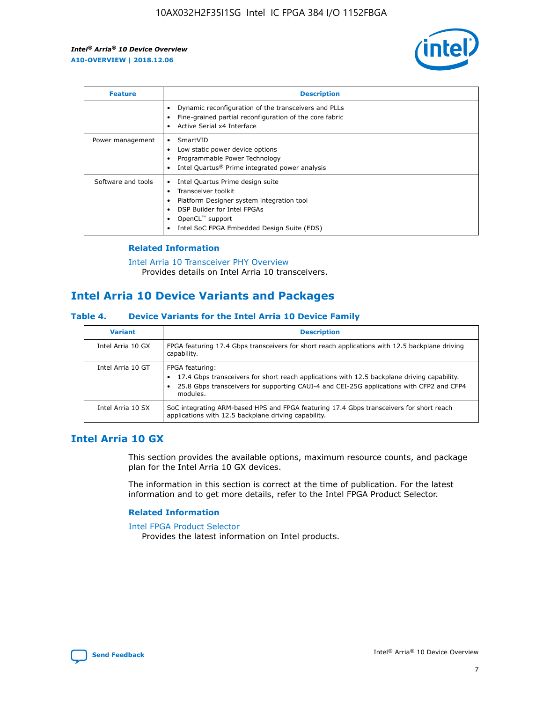

| <b>Feature</b>     | <b>Description</b>                                                                                                                                                                                               |
|--------------------|------------------------------------------------------------------------------------------------------------------------------------------------------------------------------------------------------------------|
|                    | Dynamic reconfiguration of the transceivers and PLLs<br>Fine-grained partial reconfiguration of the core fabric<br>Active Serial x4 Interface<br>$\bullet$                                                       |
| Power management   | SmartVID<br>Low static power device options<br>Programmable Power Technology<br>Intel Quartus <sup>®</sup> Prime integrated power analysis                                                                       |
| Software and tools | Intel Quartus Prime design suite<br>Transceiver toolkit<br>Platform Designer system integration tool<br>DSP Builder for Intel FPGAs<br>OpenCL <sup>™</sup> support<br>Intel SoC FPGA Embedded Design Suite (EDS) |

## **Related Information**

[Intel Arria 10 Transceiver PHY Overview](https://www.intel.com/content/www/us/en/programmable/documentation/nik1398707230472.html#nik1398706768037) Provides details on Intel Arria 10 transceivers.

## **Intel Arria 10 Device Variants and Packages**

#### **Table 4. Device Variants for the Intel Arria 10 Device Family**

| <b>Variant</b>    | <b>Description</b>                                                                                                                                                                                                     |
|-------------------|------------------------------------------------------------------------------------------------------------------------------------------------------------------------------------------------------------------------|
| Intel Arria 10 GX | FPGA featuring 17.4 Gbps transceivers for short reach applications with 12.5 backplane driving<br>capability.                                                                                                          |
| Intel Arria 10 GT | FPGA featuring:<br>17.4 Gbps transceivers for short reach applications with 12.5 backplane driving capability.<br>25.8 Gbps transceivers for supporting CAUI-4 and CEI-25G applications with CFP2 and CFP4<br>modules. |
| Intel Arria 10 SX | SoC integrating ARM-based HPS and FPGA featuring 17.4 Gbps transceivers for short reach<br>applications with 12.5 backplane driving capability.                                                                        |

## **Intel Arria 10 GX**

This section provides the available options, maximum resource counts, and package plan for the Intel Arria 10 GX devices.

The information in this section is correct at the time of publication. For the latest information and to get more details, refer to the Intel FPGA Product Selector.

### **Related Information**

#### [Intel FPGA Product Selector](http://www.altera.com/products/selector/psg-selector.html) Provides the latest information on Intel products.

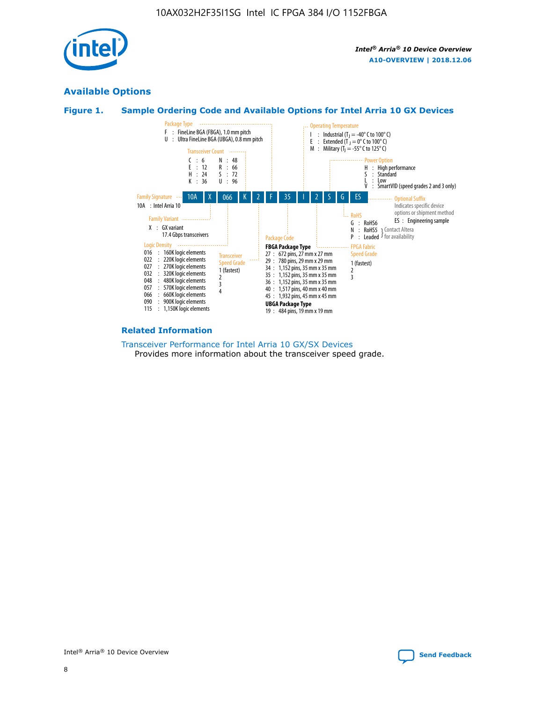

## **Available Options**





#### **Related Information**

[Transceiver Performance for Intel Arria 10 GX/SX Devices](https://www.intel.com/content/www/us/en/programmable/documentation/mcn1413182292568.html#mcn1413213965502) Provides more information about the transceiver speed grade.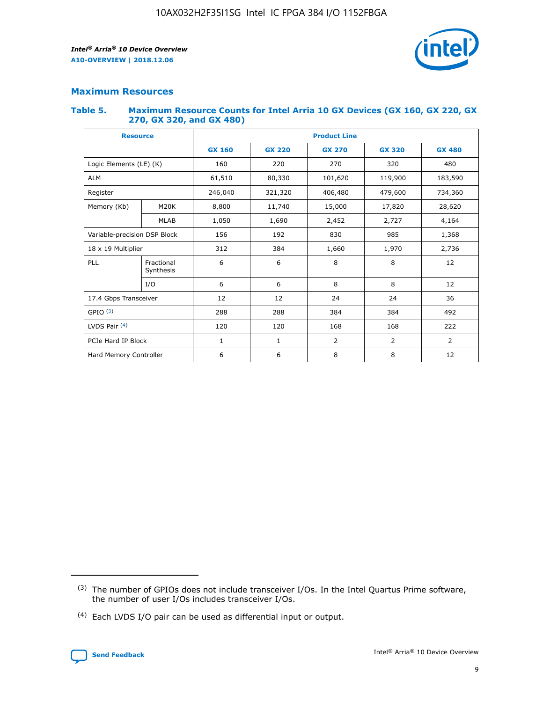

## **Maximum Resources**

## **Table 5. Maximum Resource Counts for Intel Arria 10 GX Devices (GX 160, GX 220, GX 270, GX 320, and GX 480)**

| <b>Resource</b>         |                                                          | <b>Product Line</b> |                                                 |                |                  |                |  |  |  |
|-------------------------|----------------------------------------------------------|---------------------|-------------------------------------------------|----------------|------------------|----------------|--|--|--|
|                         |                                                          | <b>GX 160</b>       | <b>GX 220</b><br><b>GX 270</b><br><b>GX 320</b> |                |                  | <b>GX 480</b>  |  |  |  |
| Logic Elements (LE) (K) |                                                          | 160                 | 220                                             | 270            | 320              | 480            |  |  |  |
| <b>ALM</b>              |                                                          | 61,510              | 80,330                                          | 101,620        | 119,900          | 183,590        |  |  |  |
| Register                |                                                          | 246,040             | 321,320                                         | 406,480        | 479,600          | 734,360        |  |  |  |
| Memory (Kb)             | M <sub>20</sub> K                                        | 8,800               | 11,740                                          | 15,000         | 17,820<br>28,620 |                |  |  |  |
|                         | <b>MLAB</b>                                              | 1,050               | 1,690<br>2,452                                  |                | 2,727            | 4,164          |  |  |  |
|                         | 985<br>Variable-precision DSP Block<br>156<br>192<br>830 |                     |                                                 |                | 1,368            |                |  |  |  |
| 18 x 19 Multiplier      |                                                          | 312                 | 384                                             | 1,660          | 1,970            | 2,736          |  |  |  |
| PLL                     | Fractional<br>Synthesis                                  | 6                   | 6                                               | 8              | 8                | 12             |  |  |  |
|                         | I/O                                                      | 6                   | 6                                               | 8              | 8                | 12             |  |  |  |
| 17.4 Gbps Transceiver   |                                                          | 12                  | 12                                              | 24             | 24               |                |  |  |  |
| GPIO <sup>(3)</sup>     |                                                          | 288                 | 288                                             | 384<br>384     |                  | 492            |  |  |  |
| LVDS Pair $(4)$         |                                                          | 120                 | 120                                             | 168            | 168              | 222            |  |  |  |
| PCIe Hard IP Block      |                                                          | $\mathbf{1}$        | 1                                               | $\overline{2}$ | $\overline{2}$   | $\overline{2}$ |  |  |  |
| Hard Memory Controller  |                                                          | 6                   | 6                                               | 8              | 8                | 12             |  |  |  |

<sup>(4)</sup> Each LVDS I/O pair can be used as differential input or output.



<sup>(3)</sup> The number of GPIOs does not include transceiver I/Os. In the Intel Quartus Prime software, the number of user I/Os includes transceiver I/Os.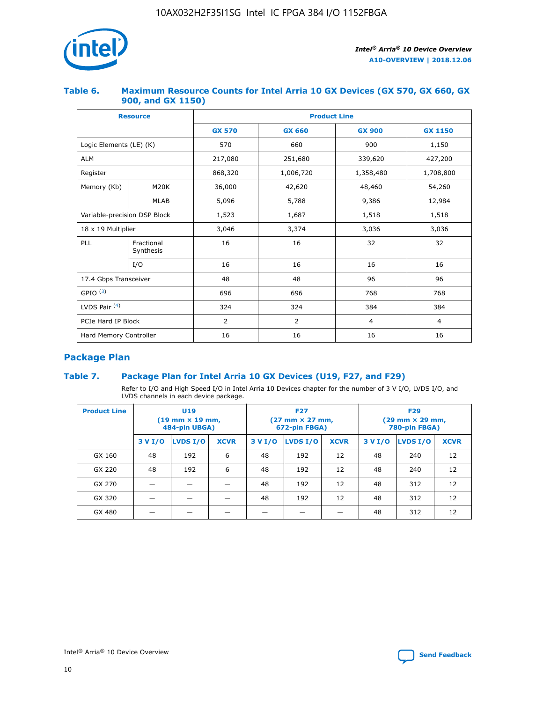

## **Table 6. Maximum Resource Counts for Intel Arria 10 GX Devices (GX 570, GX 660, GX 900, and GX 1150)**

|                              | <b>Resource</b>         | <b>Product Line</b> |                |                |                |  |  |  |
|------------------------------|-------------------------|---------------------|----------------|----------------|----------------|--|--|--|
|                              |                         | <b>GX 570</b>       | <b>GX 660</b>  | <b>GX 900</b>  | <b>GX 1150</b> |  |  |  |
| Logic Elements (LE) (K)      |                         | 570                 | 660            | 900            | 1,150          |  |  |  |
| <b>ALM</b>                   |                         | 217,080             | 251,680        | 339,620        | 427,200        |  |  |  |
| Register                     |                         | 868,320             | 1,006,720      | 1,358,480      | 1,708,800      |  |  |  |
| Memory (Kb)                  | <b>M20K</b>             | 36,000              | 42,620         | 48,460         | 54,260         |  |  |  |
|                              | <b>MLAB</b>             | 5,096               | 5,788          | 9,386          | 12,984         |  |  |  |
| Variable-precision DSP Block |                         | 1,523               | 1,687          | 1,518          | 1,518          |  |  |  |
| 18 x 19 Multiplier           |                         | 3,046               | 3,374          | 3,036          | 3,036          |  |  |  |
| PLL                          | Fractional<br>Synthesis | 16                  | 16             | 32             | 32             |  |  |  |
|                              | I/O                     | 16                  | 16             | 16             | 16             |  |  |  |
| 17.4 Gbps Transceiver        |                         | 48                  | 48             | 96             | 96             |  |  |  |
| GPIO <sup>(3)</sup>          |                         | 696                 | 696            | 768            | 768            |  |  |  |
| LVDS Pair $(4)$              |                         | 324                 | 324            | 384            | 384            |  |  |  |
| PCIe Hard IP Block           |                         | 2                   | $\overline{2}$ | $\overline{4}$ | $\overline{4}$ |  |  |  |
| Hard Memory Controller       |                         | 16                  | 16             | 16             | 16             |  |  |  |

## **Package Plan**

## **Table 7. Package Plan for Intel Arria 10 GX Devices (U19, F27, and F29)**

Refer to I/O and High Speed I/O in Intel Arria 10 Devices chapter for the number of 3 V I/O, LVDS I/O, and LVDS channels in each device package.

| <b>Product Line</b> | U <sub>19</sub><br>$(19 \text{ mm} \times 19 \text{ mm})$<br>484-pin UBGA) |          |             |         | <b>F27</b><br>(27 mm × 27 mm,<br>672-pin FBGA) |             | <b>F29</b><br>(29 mm × 29 mm,<br>780-pin FBGA) |          |             |  |
|---------------------|----------------------------------------------------------------------------|----------|-------------|---------|------------------------------------------------|-------------|------------------------------------------------|----------|-------------|--|
|                     | 3 V I/O                                                                    | LVDS I/O | <b>XCVR</b> | 3 V I/O | LVDS I/O                                       | <b>XCVR</b> | 3 V I/O                                        | LVDS I/O | <b>XCVR</b> |  |
| GX 160              | 48                                                                         | 192      | 6           | 48      | 192                                            | 12          | 48                                             | 240      | 12          |  |
| GX 220              | 48                                                                         | 192      | 6           | 48      | 192                                            | 12          | 48                                             | 240      | 12          |  |
| GX 270              |                                                                            |          |             | 48      | 192                                            | 12          | 48                                             | 312      | 12          |  |
| GX 320              |                                                                            |          |             | 48      | 192                                            | 12          | 48                                             | 312      | 12          |  |
| GX 480              |                                                                            |          |             |         |                                                |             | 48                                             | 312      | 12          |  |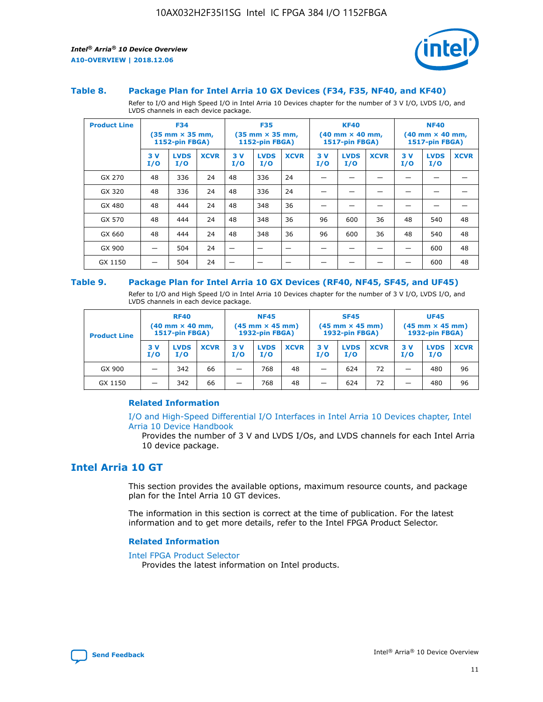

#### **Table 8. Package Plan for Intel Arria 10 GX Devices (F34, F35, NF40, and KF40)**

Refer to I/O and High Speed I/O in Intel Arria 10 Devices chapter for the number of 3 V I/O, LVDS I/O, and LVDS channels in each device package.

| <b>Product Line</b> | <b>F34</b><br>$(35 \text{ mm} \times 35 \text{ mm})$<br>1152-pin FBGA) |                    | <b>F35</b><br>$(35$ mm $\times$ 35 mm,<br><b>1152-pin FBGA)</b> |           | <b>KF40</b><br>$(40$ mm $\times$ 40 mm,<br>1517-pin FBGA) |             |           | <b>NF40</b><br>$(40 \text{ mm} \times 40 \text{ mm})$<br><b>1517-pin FBGA)</b> |             |            |                    |             |
|---------------------|------------------------------------------------------------------------|--------------------|-----------------------------------------------------------------|-----------|-----------------------------------------------------------|-------------|-----------|--------------------------------------------------------------------------------|-------------|------------|--------------------|-------------|
|                     | 3V<br>I/O                                                              | <b>LVDS</b><br>I/O | <b>XCVR</b>                                                     | 3V<br>I/O | <b>LVDS</b><br>I/O                                        | <b>XCVR</b> | 3V<br>I/O | <b>LVDS</b><br>I/O                                                             | <b>XCVR</b> | 3 V<br>I/O | <b>LVDS</b><br>I/O | <b>XCVR</b> |
| GX 270              | 48                                                                     | 336                | 24                                                              | 48        | 336                                                       | 24          |           |                                                                                |             |            |                    |             |
| GX 320              | 48                                                                     | 336                | 24                                                              | 48        | 336                                                       | 24          |           |                                                                                |             |            |                    |             |
| GX 480              | 48                                                                     | 444                | 24                                                              | 48        | 348                                                       | 36          |           |                                                                                |             |            |                    |             |
| GX 570              | 48                                                                     | 444                | 24                                                              | 48        | 348                                                       | 36          | 96        | 600                                                                            | 36          | 48         | 540                | 48          |
| GX 660              | 48                                                                     | 444                | 24                                                              | 48        | 348                                                       | 36          | 96        | 600                                                                            | 36          | 48         | 540                | 48          |
| GX 900              |                                                                        | 504                | 24                                                              | –         |                                                           |             |           |                                                                                |             |            | 600                | 48          |
| GX 1150             |                                                                        | 504                | 24                                                              |           |                                                           |             |           |                                                                                |             |            | 600                | 48          |

#### **Table 9. Package Plan for Intel Arria 10 GX Devices (RF40, NF45, SF45, and UF45)**

Refer to I/O and High Speed I/O in Intel Arria 10 Devices chapter for the number of 3 V I/O, LVDS I/O, and LVDS channels in each device package.

| <b>Product Line</b> | <b>RF40</b><br>$(40 \text{ mm} \times 40 \text{ mm})$<br>1517-pin FBGA) |                    | <b>NF45</b><br>$(45 \text{ mm} \times 45 \text{ mm})$<br>1932-pin FBGA) |            |                    | <b>SF45</b><br>$(45 \text{ mm} \times 45 \text{ mm})$<br><b>1932-pin FBGA)</b> |            |                    | <b>UF45</b><br>$(45 \text{ mm} \times 45 \text{ mm})$<br>1932-pin FBGA) |           |                    |             |
|---------------------|-------------------------------------------------------------------------|--------------------|-------------------------------------------------------------------------|------------|--------------------|--------------------------------------------------------------------------------|------------|--------------------|-------------------------------------------------------------------------|-----------|--------------------|-------------|
|                     | 3 V<br>I/O                                                              | <b>LVDS</b><br>I/O | <b>XCVR</b>                                                             | 3 V<br>I/O | <b>LVDS</b><br>I/O | <b>XCVR</b>                                                                    | 3 V<br>I/O | <b>LVDS</b><br>I/O | <b>XCVR</b>                                                             | 3V<br>I/O | <b>LVDS</b><br>I/O | <b>XCVR</b> |
| GX 900              | _                                                                       | 342                | 66                                                                      | -          | 768                | 48                                                                             | -          | 624                | 72                                                                      | _         | 480                | 96          |
| GX 1150             |                                                                         | 342                | 66                                                                      | -          | 768                | 48                                                                             |            | 624                | 72                                                                      |           | 480                | 96          |

## **Related Information**

[I/O and High-Speed Differential I/O Interfaces in Intel Arria 10 Devices chapter, Intel](https://www.intel.com/content/www/us/en/programmable/documentation/sam1403482614086.html#sam1403482030321) [Arria 10 Device Handbook](https://www.intel.com/content/www/us/en/programmable/documentation/sam1403482614086.html#sam1403482030321)

Provides the number of 3 V and LVDS I/Os, and LVDS channels for each Intel Arria 10 device package.

## **Intel Arria 10 GT**

This section provides the available options, maximum resource counts, and package plan for the Intel Arria 10 GT devices.

The information in this section is correct at the time of publication. For the latest information and to get more details, refer to the Intel FPGA Product Selector.

#### **Related Information**

#### [Intel FPGA Product Selector](http://www.altera.com/products/selector/psg-selector.html)

Provides the latest information on Intel products.

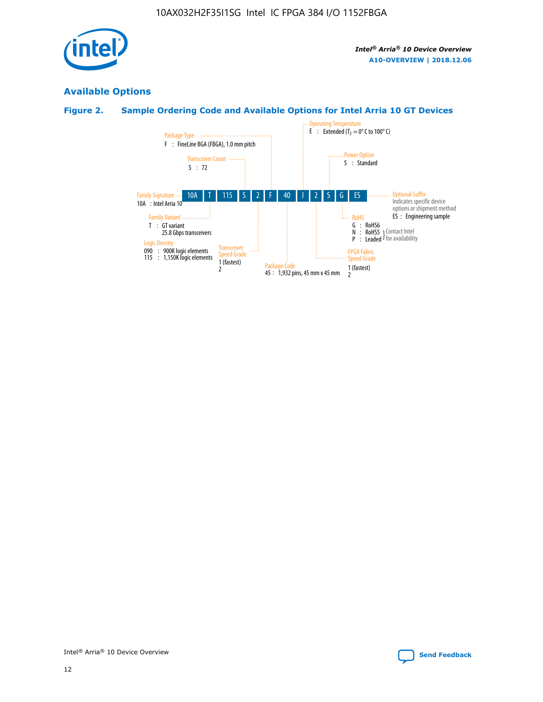

## **Available Options**

## **Figure 2. Sample Ordering Code and Available Options for Intel Arria 10 GT Devices**

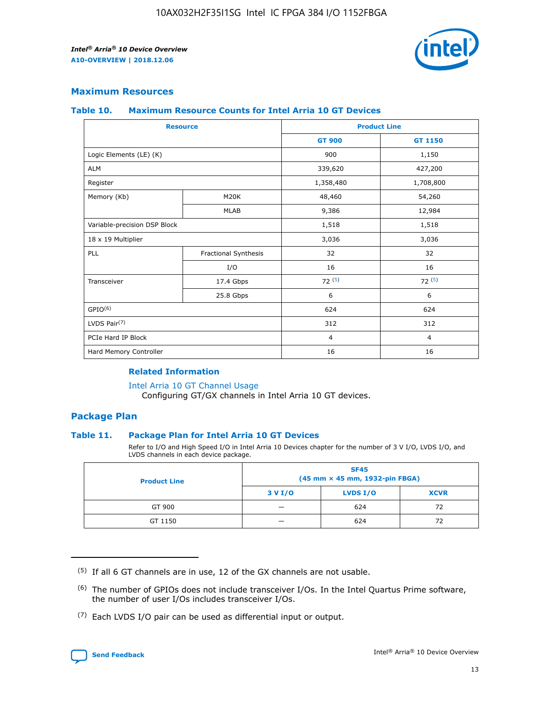

## **Maximum Resources**

#### **Table 10. Maximum Resource Counts for Intel Arria 10 GT Devices**

| <b>Resource</b>              |                      | <b>Product Line</b> |                |  |
|------------------------------|----------------------|---------------------|----------------|--|
|                              |                      | <b>GT 900</b>       | GT 1150        |  |
| Logic Elements (LE) (K)      |                      | 900                 | 1,150          |  |
| <b>ALM</b>                   |                      | 339,620             | 427,200        |  |
| Register                     |                      | 1,358,480           | 1,708,800      |  |
| Memory (Kb)                  | M <sub>20</sub> K    | 48,460              | 54,260         |  |
|                              | <b>MLAB</b>          | 9,386               | 12,984         |  |
| Variable-precision DSP Block |                      | 1,518               | 1,518          |  |
| 18 x 19 Multiplier           |                      | 3,036               | 3,036          |  |
| <b>PLL</b>                   | Fractional Synthesis | 32                  | 32             |  |
|                              | I/O                  | 16                  | 16             |  |
| Transceiver                  | 17.4 Gbps            | 72(5)               | 72(5)          |  |
|                              | 25.8 Gbps            | 6                   | 6              |  |
| GPIO <sup>(6)</sup>          |                      | 624                 | 624            |  |
| LVDS Pair $(7)$              |                      | 312                 | 312            |  |
| PCIe Hard IP Block           |                      | $\overline{4}$      | $\overline{4}$ |  |
| Hard Memory Controller       |                      | 16                  | 16             |  |

## **Related Information**

#### [Intel Arria 10 GT Channel Usage](https://www.intel.com/content/www/us/en/programmable/documentation/nik1398707230472.html#nik1398707008178)

Configuring GT/GX channels in Intel Arria 10 GT devices.

## **Package Plan**

## **Table 11. Package Plan for Intel Arria 10 GT Devices**

Refer to I/O and High Speed I/O in Intel Arria 10 Devices chapter for the number of 3 V I/O, LVDS I/O, and LVDS channels in each device package.

| <b>Product Line</b> | <b>SF45</b><br>(45 mm × 45 mm, 1932-pin FBGA) |                 |             |  |  |  |  |
|---------------------|-----------------------------------------------|-----------------|-------------|--|--|--|--|
|                     | 3 V I/O                                       | <b>LVDS I/O</b> | <b>XCVR</b> |  |  |  |  |
| GT 900              |                                               | 624             | 72          |  |  |  |  |
| GT 1150             |                                               | 624             | 72          |  |  |  |  |

<sup>(7)</sup> Each LVDS I/O pair can be used as differential input or output.



 $(5)$  If all 6 GT channels are in use, 12 of the GX channels are not usable.

<sup>(6)</sup> The number of GPIOs does not include transceiver I/Os. In the Intel Quartus Prime software, the number of user I/Os includes transceiver I/Os.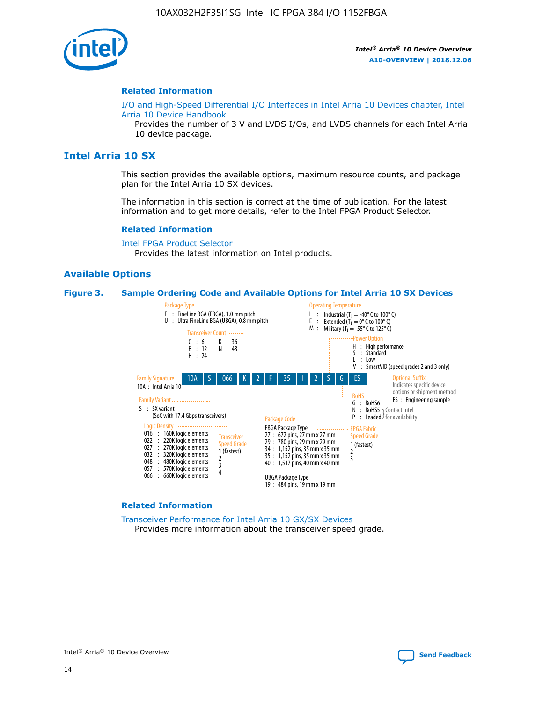

## **Related Information**

[I/O and High-Speed Differential I/O Interfaces in Intel Arria 10 Devices chapter, Intel](https://www.intel.com/content/www/us/en/programmable/documentation/sam1403482614086.html#sam1403482030321) [Arria 10 Device Handbook](https://www.intel.com/content/www/us/en/programmable/documentation/sam1403482614086.html#sam1403482030321)

Provides the number of 3 V and LVDS I/Os, and LVDS channels for each Intel Arria 10 device package.

## **Intel Arria 10 SX**

This section provides the available options, maximum resource counts, and package plan for the Intel Arria 10 SX devices.

The information in this section is correct at the time of publication. For the latest information and to get more details, refer to the Intel FPGA Product Selector.

#### **Related Information**

[Intel FPGA Product Selector](http://www.altera.com/products/selector/psg-selector.html) Provides the latest information on Intel products.

## **Available Options**

#### **Figure 3. Sample Ordering Code and Available Options for Intel Arria 10 SX Devices**



#### **Related Information**

[Transceiver Performance for Intel Arria 10 GX/SX Devices](https://www.intel.com/content/www/us/en/programmable/documentation/mcn1413182292568.html#mcn1413213965502) Provides more information about the transceiver speed grade.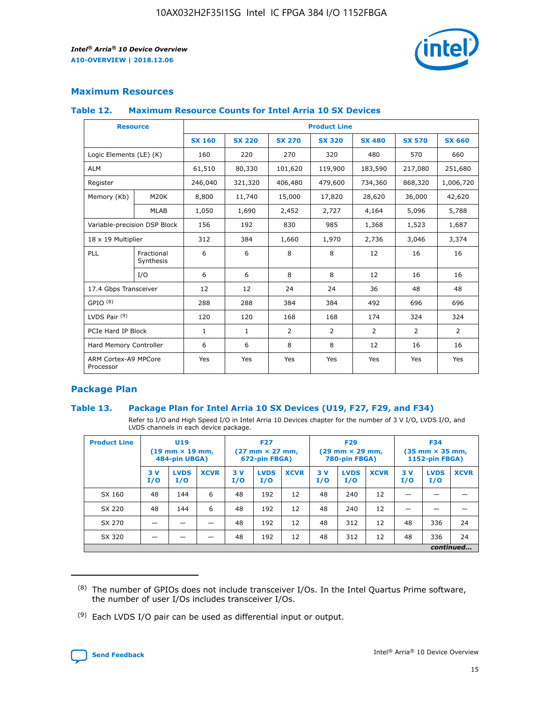

## **Maximum Resources**

#### **Table 12. Maximum Resource Counts for Intel Arria 10 SX Devices**

|                                   | <b>Resource</b>         | <b>Product Line</b> |               |                |                |                |                |                |  |  |  |
|-----------------------------------|-------------------------|---------------------|---------------|----------------|----------------|----------------|----------------|----------------|--|--|--|
|                                   |                         | <b>SX 160</b>       | <b>SX 220</b> | <b>SX 270</b>  | <b>SX 320</b>  | <b>SX 480</b>  | <b>SX 570</b>  | <b>SX 660</b>  |  |  |  |
| Logic Elements (LE) (K)           |                         | 160                 | 220           | 270            | 320            | 480            | 570            | 660            |  |  |  |
| <b>ALM</b>                        |                         | 61,510              | 80,330        | 101,620        | 119,900        | 183,590        | 217,080        | 251,680        |  |  |  |
| Register                          |                         | 246,040             | 321,320       | 406,480        | 479,600        | 734,360        | 868,320        | 1,006,720      |  |  |  |
| Memory (Kb)                       | M <sub>20</sub> K       | 8,800               | 11,740        | 15,000         | 17,820         | 28,620         | 36,000         | 42,620         |  |  |  |
|                                   | <b>MLAB</b>             | 1,050               | 1,690         | 2,452          | 2,727          | 4,164          | 5,096          | 5,788          |  |  |  |
| Variable-precision DSP Block      |                         | 156                 | 192           | 830            | 985            | 1,368          | 1,523          | 1,687          |  |  |  |
| 18 x 19 Multiplier                |                         | 312                 | 384           | 1,660          | 1,970          | 2,736          | 3,046          | 3,374          |  |  |  |
| <b>PLL</b>                        | Fractional<br>Synthesis | 6                   | 6             | 8              | 8              | 12             | 16             | 16             |  |  |  |
|                                   | I/O                     | 6                   | 6             | 8              | 8              | 12             | 16             | 16             |  |  |  |
| 17.4 Gbps Transceiver             |                         | 12                  | 12            | 24             | 24             | 36             | 48             | 48             |  |  |  |
| GPIO <sup>(8)</sup>               |                         | 288                 | 288           | 384            | 384            | 492            | 696            | 696            |  |  |  |
| LVDS Pair $(9)$                   |                         | 120                 | 120           | 168            | 168            | 174            | 324            | 324            |  |  |  |
| PCIe Hard IP Block                |                         | $\mathbf{1}$        | $\mathbf{1}$  | $\overline{2}$ | $\overline{2}$ | $\overline{2}$ | $\overline{2}$ | $\overline{2}$ |  |  |  |
| Hard Memory Controller            |                         | 6                   | 6             | 8              | 8              | 12             | 16             | 16             |  |  |  |
| ARM Cortex-A9 MPCore<br>Processor |                         | Yes                 | Yes           | Yes            | Yes            | Yes            | Yes            | Yes            |  |  |  |

## **Package Plan**

## **Table 13. Package Plan for Intel Arria 10 SX Devices (U19, F27, F29, and F34)**

Refer to I/O and High Speed I/O in Intel Arria 10 Devices chapter for the number of 3 V I/O, LVDS I/O, and LVDS channels in each device package.

| <b>Product Line</b> | U <sub>19</sub><br>$(19 \text{ mm} \times 19 \text{ mm})$<br>484-pin UBGA) |                    |             | <b>F27</b><br>$(27 \text{ mm} \times 27 \text{ mm})$ .<br>672-pin FBGA) |                    | <b>F29</b><br>$(29 \text{ mm} \times 29 \text{ mm})$ .<br>780-pin FBGA) |            |                    | <b>F34</b><br>$(35 \text{ mm} \times 35 \text{ mm})$<br><b>1152-pin FBGA)</b> |           |                    |             |
|---------------------|----------------------------------------------------------------------------|--------------------|-------------|-------------------------------------------------------------------------|--------------------|-------------------------------------------------------------------------|------------|--------------------|-------------------------------------------------------------------------------|-----------|--------------------|-------------|
|                     | 3V<br>I/O                                                                  | <b>LVDS</b><br>I/O | <b>XCVR</b> | 3V<br>I/O                                                               | <b>LVDS</b><br>I/O | <b>XCVR</b>                                                             | 3 V<br>I/O | <b>LVDS</b><br>I/O | <b>XCVR</b>                                                                   | 3V<br>I/O | <b>LVDS</b><br>I/O | <b>XCVR</b> |
| SX 160              | 48                                                                         | 144                | 6           | 48                                                                      | 192                | 12                                                                      | 48         | 240                | 12                                                                            |           |                    |             |
| SX 220              | 48                                                                         | 144                | 6           | 48                                                                      | 192                | 12                                                                      | 48         | 240                | 12                                                                            |           |                    |             |
| SX 270              |                                                                            |                    |             | 48                                                                      | 192                | 12                                                                      | 48         | 312                | 12                                                                            | 48        | 336                | 24          |
| SX 320              |                                                                            |                    |             | 48                                                                      | 192                | 12                                                                      | 48         | 312                | 12                                                                            | 48        | 336                | 24          |
|                     | continued                                                                  |                    |             |                                                                         |                    |                                                                         |            |                    |                                                                               |           |                    |             |

 $(8)$  The number of GPIOs does not include transceiver I/Os. In the Intel Quartus Prime software, the number of user I/Os includes transceiver I/Os.

 $(9)$  Each LVDS I/O pair can be used as differential input or output.

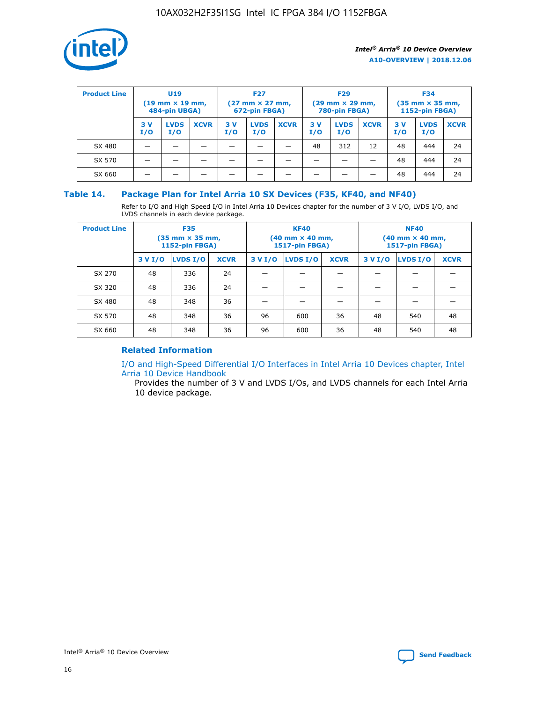

| <b>Product Line</b> | U <sub>19</sub><br>$(19 \text{ mm} \times 19 \text{ mm})$<br>484-pin UBGA) |                    | <b>F27</b><br>$(27 \text{ mm} \times 27 \text{ mm})$<br>672-pin FBGA) |           | <b>F29</b><br>$(29 \text{ mm} \times 29 \text{ mm})$<br>780-pin FBGA) |             |           | <b>F34</b><br>$(35$ mm $\times$ 35 mm,<br><b>1152-pin FBGA)</b> |             |           |                    |             |
|---------------------|----------------------------------------------------------------------------|--------------------|-----------------------------------------------------------------------|-----------|-----------------------------------------------------------------------|-------------|-----------|-----------------------------------------------------------------|-------------|-----------|--------------------|-------------|
|                     | 3 V<br>I/O                                                                 | <b>LVDS</b><br>I/O | <b>XCVR</b>                                                           | 3V<br>I/O | <b>LVDS</b><br>I/O                                                    | <b>XCVR</b> | 3V<br>I/O | <b>LVDS</b><br>I/O                                              | <b>XCVR</b> | 3V<br>I/O | <b>LVDS</b><br>I/O | <b>XCVR</b> |
| SX 480              |                                                                            |                    |                                                                       |           |                                                                       |             | 48        | 312                                                             | 12          | 48        | 444                | 24          |
| SX 570              |                                                                            |                    |                                                                       |           |                                                                       |             |           |                                                                 |             | 48        | 444                | 24          |
| SX 660              |                                                                            |                    |                                                                       |           |                                                                       |             |           |                                                                 |             | 48        | 444                | 24          |

## **Table 14. Package Plan for Intel Arria 10 SX Devices (F35, KF40, and NF40)**

Refer to I/O and High Speed I/O in Intel Arria 10 Devices chapter for the number of 3 V I/O, LVDS I/O, and LVDS channels in each device package.

| <b>Product Line</b> | <b>F35</b><br>(35 mm × 35 mm,<br><b>1152-pin FBGA)</b> |          |             |                                           | <b>KF40</b><br>(40 mm × 40 mm,<br>1517-pin FBGA) |    | <b>NF40</b><br>$(40 \text{ mm} \times 40 \text{ mm})$<br>1517-pin FBGA) |          |             |  |
|---------------------|--------------------------------------------------------|----------|-------------|-------------------------------------------|--------------------------------------------------|----|-------------------------------------------------------------------------|----------|-------------|--|
|                     | 3 V I/O                                                | LVDS I/O | <b>XCVR</b> | <b>LVDS I/O</b><br>3 V I/O<br><b>XCVR</b> |                                                  |    | 3 V I/O                                                                 | LVDS I/O | <b>XCVR</b> |  |
| SX 270              | 48                                                     | 336      | 24          |                                           |                                                  |    |                                                                         |          |             |  |
| SX 320              | 48                                                     | 336      | 24          |                                           |                                                  |    |                                                                         |          |             |  |
| SX 480              | 48                                                     | 348      | 36          |                                           |                                                  |    |                                                                         |          |             |  |
| SX 570              | 48                                                     | 348      | 36          | 96                                        | 600                                              | 36 | 48                                                                      | 540      | 48          |  |
| SX 660              | 48                                                     | 348      | 36          | 96                                        | 600                                              | 36 | 48                                                                      | 540      | 48          |  |

## **Related Information**

[I/O and High-Speed Differential I/O Interfaces in Intel Arria 10 Devices chapter, Intel](https://www.intel.com/content/www/us/en/programmable/documentation/sam1403482614086.html#sam1403482030321) [Arria 10 Device Handbook](https://www.intel.com/content/www/us/en/programmable/documentation/sam1403482614086.html#sam1403482030321)

Provides the number of 3 V and LVDS I/Os, and LVDS channels for each Intel Arria 10 device package.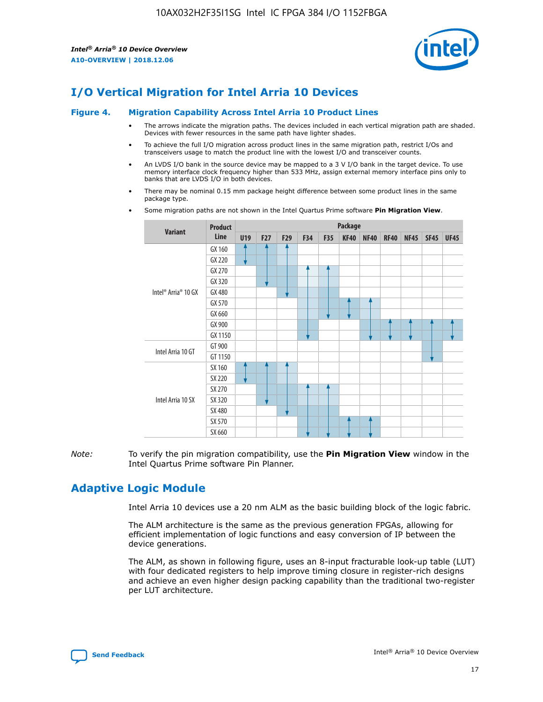

## **I/O Vertical Migration for Intel Arria 10 Devices**

#### **Figure 4. Migration Capability Across Intel Arria 10 Product Lines**

- The arrows indicate the migration paths. The devices included in each vertical migration path are shaded. Devices with fewer resources in the same path have lighter shades.
- To achieve the full I/O migration across product lines in the same migration path, restrict I/Os and transceivers usage to match the product line with the lowest I/O and transceiver counts.
- An LVDS I/O bank in the source device may be mapped to a 3 V I/O bank in the target device. To use memory interface clock frequency higher than 533 MHz, assign external memory interface pins only to banks that are LVDS I/O in both devices.
- There may be nominal 0.15 mm package height difference between some product lines in the same package type.
	- **Variant Product Line Package U19 F27 F29 F34 F35 KF40 NF40 RF40 NF45 SF45 UF45** Intel® Arria® 10 GX GX 160 GX 220 GX 270 GX 320 GX 480 GX 570 GX 660 GX 900 GX 1150 Intel Arria 10 GT GT 900 GT 1150 Intel Arria 10 SX SX 160 SX 220 SX 270 SX 320 SX 480 SX 570 SX 660
- Some migration paths are not shown in the Intel Quartus Prime software **Pin Migration View**.

*Note:* To verify the pin migration compatibility, use the **Pin Migration View** window in the Intel Quartus Prime software Pin Planner.

## **Adaptive Logic Module**

Intel Arria 10 devices use a 20 nm ALM as the basic building block of the logic fabric.

The ALM architecture is the same as the previous generation FPGAs, allowing for efficient implementation of logic functions and easy conversion of IP between the device generations.

The ALM, as shown in following figure, uses an 8-input fracturable look-up table (LUT) with four dedicated registers to help improve timing closure in register-rich designs and achieve an even higher design packing capability than the traditional two-register per LUT architecture.

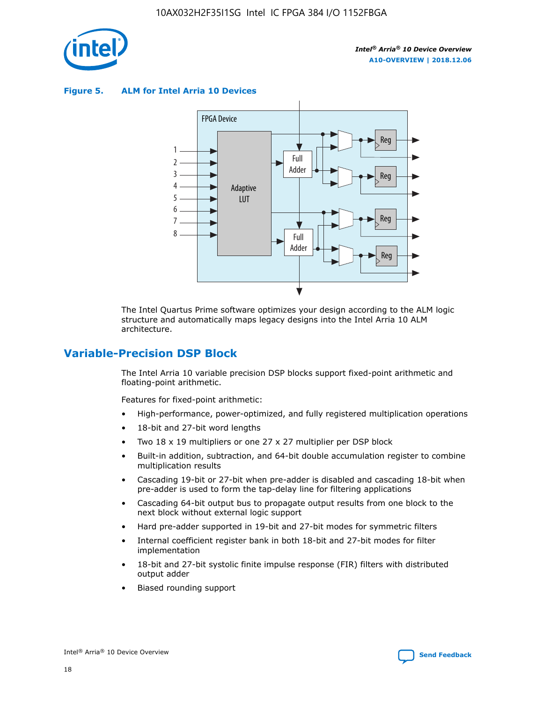

**Figure 5. ALM for Intel Arria 10 Devices**



The Intel Quartus Prime software optimizes your design according to the ALM logic structure and automatically maps legacy designs into the Intel Arria 10 ALM architecture.

## **Variable-Precision DSP Block**

The Intel Arria 10 variable precision DSP blocks support fixed-point arithmetic and floating-point arithmetic.

Features for fixed-point arithmetic:

- High-performance, power-optimized, and fully registered multiplication operations
- 18-bit and 27-bit word lengths
- Two 18 x 19 multipliers or one 27 x 27 multiplier per DSP block
- Built-in addition, subtraction, and 64-bit double accumulation register to combine multiplication results
- Cascading 19-bit or 27-bit when pre-adder is disabled and cascading 18-bit when pre-adder is used to form the tap-delay line for filtering applications
- Cascading 64-bit output bus to propagate output results from one block to the next block without external logic support
- Hard pre-adder supported in 19-bit and 27-bit modes for symmetric filters
- Internal coefficient register bank in both 18-bit and 27-bit modes for filter implementation
- 18-bit and 27-bit systolic finite impulse response (FIR) filters with distributed output adder
- Biased rounding support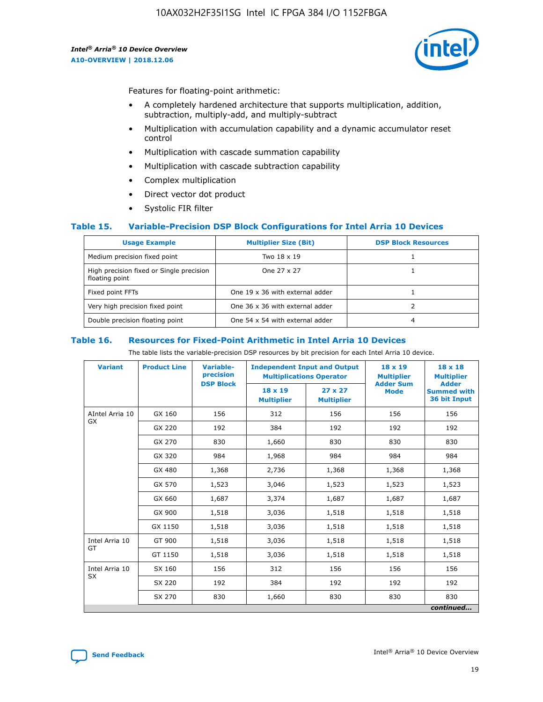

Features for floating-point arithmetic:

- A completely hardened architecture that supports multiplication, addition, subtraction, multiply-add, and multiply-subtract
- Multiplication with accumulation capability and a dynamic accumulator reset control
- Multiplication with cascade summation capability
- Multiplication with cascade subtraction capability
- Complex multiplication
- Direct vector dot product
- Systolic FIR filter

## **Table 15. Variable-Precision DSP Block Configurations for Intel Arria 10 Devices**

| <b>Usage Example</b>                                       | <b>Multiplier Size (Bit)</b>    | <b>DSP Block Resources</b> |
|------------------------------------------------------------|---------------------------------|----------------------------|
| Medium precision fixed point                               | Two 18 x 19                     |                            |
| High precision fixed or Single precision<br>floating point | One 27 x 27                     |                            |
| Fixed point FFTs                                           | One 19 x 36 with external adder |                            |
| Very high precision fixed point                            | One 36 x 36 with external adder |                            |
| Double precision floating point                            | One 54 x 54 with external adder | 4                          |

#### **Table 16. Resources for Fixed-Point Arithmetic in Intel Arria 10 Devices**

The table lists the variable-precision DSP resources by bit precision for each Intel Arria 10 device.

| <b>Variant</b>  | <b>Product Line</b> | <b>Variable-</b><br>precision | <b>Independent Input and Output</b><br><b>Multiplications Operator</b> |                                     | 18 x 19<br><b>Multiplier</b>    | $18 \times 18$<br><b>Multiplier</b>                |
|-----------------|---------------------|-------------------------------|------------------------------------------------------------------------|-------------------------------------|---------------------------------|----------------------------------------------------|
|                 |                     | <b>DSP Block</b>              | 18 x 19<br><b>Multiplier</b>                                           | $27 \times 27$<br><b>Multiplier</b> | <b>Adder Sum</b><br><b>Mode</b> | <b>Adder</b><br><b>Summed with</b><br>36 bit Input |
| AIntel Arria 10 | GX 160              | 156                           | 312                                                                    | 156                                 | 156                             | 156                                                |
| <b>GX</b>       | GX 220              | 192                           | 384                                                                    | 192                                 | 192                             | 192                                                |
|                 | GX 270              | 830                           | 1,660                                                                  | 830                                 | 830                             | 830                                                |
|                 | GX 320              | 984                           | 1,968                                                                  | 984                                 | 984                             | 984                                                |
|                 | GX 480              | 1,368                         | 2,736                                                                  | 1,368                               | 1,368                           | 1,368                                              |
|                 | GX 570              | 1,523                         | 3,046                                                                  | 1,523                               | 1,523                           | 1,523                                              |
|                 | GX 660              | 1,687                         | 3,374                                                                  | 1,687                               | 1,687                           | 1,687                                              |
|                 | GX 900              | 1,518                         | 3,036                                                                  | 1,518                               | 1,518                           | 1,518                                              |
|                 | GX 1150             | 1,518                         | 3,036                                                                  | 1,518                               | 1,518                           | 1,518                                              |
| Intel Arria 10  | GT 900              | 1,518                         | 3,036                                                                  | 1,518                               | 1,518                           | 1,518                                              |
| GT              | GT 1150             | 1,518                         | 3,036                                                                  | 1,518                               | 1,518                           | 1,518                                              |
| Intel Arria 10  | SX 160              | 156                           | 312                                                                    | 156                                 | 156                             | 156                                                |
| <b>SX</b>       | SX 220              | 192                           | 384                                                                    | 192                                 | 192                             | 192                                                |
|                 | SX 270              | 830                           | 1,660                                                                  | 830                                 | 830                             | 830                                                |
|                 |                     |                               |                                                                        |                                     |                                 | continued                                          |

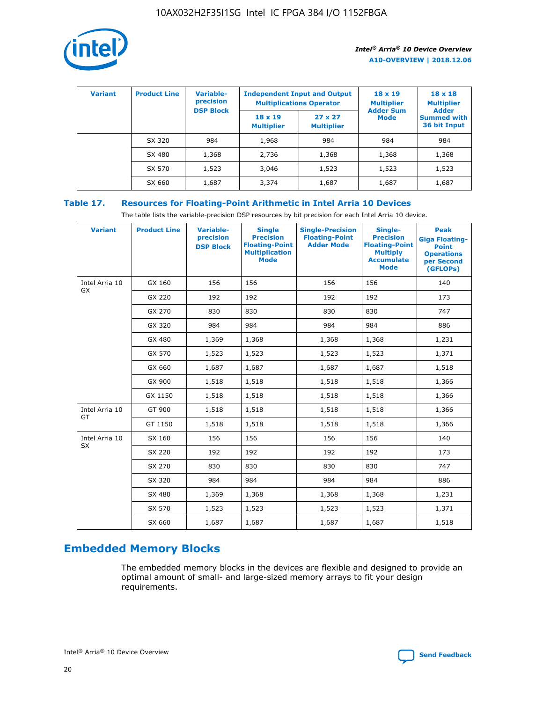

| <b>Variant</b> | <b>Product Line</b> | Variable-<br>precision | <b>Independent Input and Output</b><br><b>Multiplications Operator</b> |                                     | $18 \times 19$<br><b>Multiplier</b> | $18 \times 18$<br><b>Multiplier</b><br><b>Adder</b> |  |
|----------------|---------------------|------------------------|------------------------------------------------------------------------|-------------------------------------|-------------------------------------|-----------------------------------------------------|--|
|                |                     | <b>DSP Block</b>       | $18 \times 19$<br><b>Multiplier</b>                                    | $27 \times 27$<br><b>Multiplier</b> | <b>Adder Sum</b><br><b>Mode</b>     | <b>Summed with</b><br>36 bit Input                  |  |
|                | SX 320              | 984                    | 1,968                                                                  | 984                                 | 984                                 | 984                                                 |  |
|                | SX 480              | 1,368                  | 2,736                                                                  | 1,368                               | 1,368                               | 1,368                                               |  |
|                | SX 570              | 1,523                  | 3,046                                                                  | 1,523                               | 1,523                               | 1,523                                               |  |
|                | SX 660              | 1,687                  | 3,374                                                                  | 1,687                               | 1,687                               | 1,687                                               |  |

## **Table 17. Resources for Floating-Point Arithmetic in Intel Arria 10 Devices**

The table lists the variable-precision DSP resources by bit precision for each Intel Arria 10 device.

| <b>Variant</b> | <b>Product Line</b> | <b>Variable-</b><br>precision<br><b>DSP Block</b> | <b>Single</b><br><b>Precision</b><br><b>Floating-Point</b><br><b>Multiplication</b><br><b>Mode</b> | <b>Single-Precision</b><br><b>Floating-Point</b><br><b>Adder Mode</b> | Single-<br><b>Precision</b><br><b>Floating-Point</b><br><b>Multiply</b><br><b>Accumulate</b><br><b>Mode</b> | <b>Peak</b><br><b>Giga Floating-</b><br><b>Point</b><br><b>Operations</b><br>per Second<br>(GFLOPs) |
|----------------|---------------------|---------------------------------------------------|----------------------------------------------------------------------------------------------------|-----------------------------------------------------------------------|-------------------------------------------------------------------------------------------------------------|-----------------------------------------------------------------------------------------------------|
| Intel Arria 10 | GX 160              | 156                                               | 156                                                                                                | 156                                                                   | 156                                                                                                         | 140                                                                                                 |
| GX             | GX 220              | 192                                               | 192                                                                                                | 192                                                                   | 192                                                                                                         | 173                                                                                                 |
|                | GX 270              | 830                                               | 830                                                                                                | 830                                                                   | 830                                                                                                         | 747                                                                                                 |
|                | GX 320              | 984                                               | 984                                                                                                | 984                                                                   | 984                                                                                                         | 886                                                                                                 |
|                | GX 480              | 1,369                                             | 1,368                                                                                              | 1,368                                                                 | 1,368                                                                                                       | 1,231                                                                                               |
|                | GX 570              | 1,523                                             | 1,523                                                                                              | 1,523                                                                 | 1,523                                                                                                       | 1,371                                                                                               |
|                | GX 660              | 1,687                                             | 1,687                                                                                              | 1,687                                                                 | 1,687                                                                                                       | 1,518                                                                                               |
|                | GX 900              | 1,518                                             | 1,518                                                                                              | 1,518                                                                 | 1,518                                                                                                       | 1,366                                                                                               |
|                | GX 1150             | 1,518                                             | 1,518                                                                                              | 1,518                                                                 | 1,518                                                                                                       | 1,366                                                                                               |
| Intel Arria 10 | GT 900              | 1,518                                             | 1,518                                                                                              | 1,518                                                                 | 1,518                                                                                                       | 1,366                                                                                               |
| GT             | GT 1150             | 1,518                                             | 1,518                                                                                              | 1,518                                                                 | 1,518                                                                                                       | 1,366                                                                                               |
| Intel Arria 10 | SX 160              | 156                                               | 156                                                                                                | 156                                                                   | 156                                                                                                         | 140                                                                                                 |
| <b>SX</b>      | SX 220              | 192                                               | 192                                                                                                | 192                                                                   | 192                                                                                                         | 173                                                                                                 |
|                | SX 270              | 830                                               | 830                                                                                                | 830                                                                   | 830                                                                                                         | 747                                                                                                 |
|                | SX 320              | 984                                               | 984                                                                                                | 984                                                                   | 984                                                                                                         | 886                                                                                                 |
|                | SX 480              | 1,369                                             | 1,368                                                                                              | 1,368                                                                 | 1,368                                                                                                       | 1,231                                                                                               |
|                | SX 570              | 1,523                                             | 1,523                                                                                              | 1,523                                                                 | 1,523                                                                                                       | 1,371                                                                                               |
|                | SX 660              | 1,687                                             | 1,687                                                                                              | 1,687                                                                 | 1,687                                                                                                       | 1,518                                                                                               |

## **Embedded Memory Blocks**

The embedded memory blocks in the devices are flexible and designed to provide an optimal amount of small- and large-sized memory arrays to fit your design requirements.

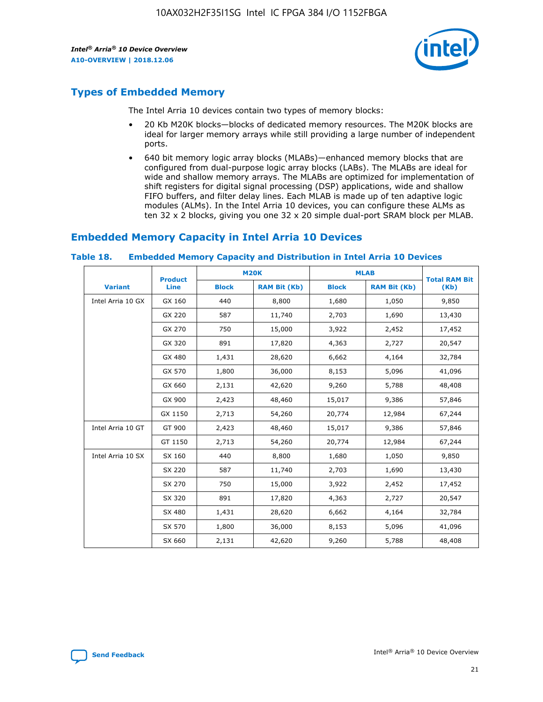

## **Types of Embedded Memory**

The Intel Arria 10 devices contain two types of memory blocks:

- 20 Kb M20K blocks—blocks of dedicated memory resources. The M20K blocks are ideal for larger memory arrays while still providing a large number of independent ports.
- 640 bit memory logic array blocks (MLABs)—enhanced memory blocks that are configured from dual-purpose logic array blocks (LABs). The MLABs are ideal for wide and shallow memory arrays. The MLABs are optimized for implementation of shift registers for digital signal processing (DSP) applications, wide and shallow FIFO buffers, and filter delay lines. Each MLAB is made up of ten adaptive logic modules (ALMs). In the Intel Arria 10 devices, you can configure these ALMs as ten 32 x 2 blocks, giving you one 32 x 20 simple dual-port SRAM block per MLAB.

## **Embedded Memory Capacity in Intel Arria 10 Devices**

|                   | <b>Product</b> |              | <b>M20K</b>         | <b>MLAB</b>  |                     | <b>Total RAM Bit</b> |
|-------------------|----------------|--------------|---------------------|--------------|---------------------|----------------------|
| <b>Variant</b>    | Line           | <b>Block</b> | <b>RAM Bit (Kb)</b> | <b>Block</b> | <b>RAM Bit (Kb)</b> | (Kb)                 |
| Intel Arria 10 GX | GX 160         | 440          | 8,800               | 1,680        | 1,050               | 9,850                |
|                   | GX 220         | 587          | 11,740              | 2,703        | 1,690               | 13,430               |
|                   | GX 270         | 750          | 15,000              | 3,922        | 2,452               | 17,452               |
|                   | GX 320         | 891          | 17,820              | 4,363        | 2,727               | 20,547               |
|                   | GX 480         | 1,431        | 28,620              | 6,662        | 4,164               | 32,784               |
|                   | GX 570         | 1,800        | 36,000              | 8,153        | 5,096               | 41,096               |
|                   | GX 660         | 2,131        | 42,620              | 9,260        | 5,788               | 48,408               |
|                   | GX 900         | 2,423        | 48,460              | 15,017       | 9,386               | 57,846               |
|                   | GX 1150        | 2,713        | 54,260              | 20,774       | 12,984              | 67,244               |
| Intel Arria 10 GT | GT 900         | 2,423        | 48,460              | 15,017       | 9,386               | 57,846               |
|                   | GT 1150        | 2,713        | 54,260              | 20,774       | 12,984              | 67,244               |
| Intel Arria 10 SX | SX 160         | 440          | 8,800               | 1,680        | 1,050               | 9,850                |
|                   | SX 220         | 587          | 11,740              | 2,703        | 1,690               | 13,430               |
|                   | SX 270         | 750          | 15,000              | 3,922        | 2,452               | 17,452               |
|                   | SX 320         | 891          | 17,820              | 4,363        | 2,727               | 20,547               |
|                   | SX 480         | 1,431        | 28,620              | 6,662        | 4,164               | 32,784               |
|                   | SX 570         | 1,800        | 36,000              | 8,153        | 5,096               | 41,096               |
|                   | SX 660         | 2,131        | 42,620              | 9,260        | 5,788               | 48,408               |

#### **Table 18. Embedded Memory Capacity and Distribution in Intel Arria 10 Devices**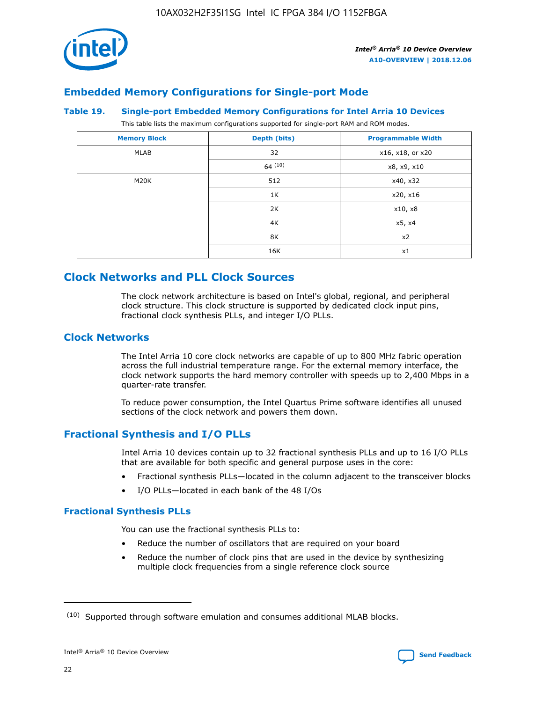

## **Embedded Memory Configurations for Single-port Mode**

## **Table 19. Single-port Embedded Memory Configurations for Intel Arria 10 Devices**

This table lists the maximum configurations supported for single-port RAM and ROM modes.

| <b>Memory Block</b> | Depth (bits) | <b>Programmable Width</b> |
|---------------------|--------------|---------------------------|
| MLAB                | 32           | x16, x18, or x20          |
|                     | 64(10)       | x8, x9, x10               |
| M20K                | 512          | x40, x32                  |
|                     | 1K           | x20, x16                  |
|                     | 2K           | x10, x8                   |
|                     | 4K           | x5, x4                    |
|                     | 8K           | x2                        |
|                     | 16K          | x1                        |

## **Clock Networks and PLL Clock Sources**

The clock network architecture is based on Intel's global, regional, and peripheral clock structure. This clock structure is supported by dedicated clock input pins, fractional clock synthesis PLLs, and integer I/O PLLs.

## **Clock Networks**

The Intel Arria 10 core clock networks are capable of up to 800 MHz fabric operation across the full industrial temperature range. For the external memory interface, the clock network supports the hard memory controller with speeds up to 2,400 Mbps in a quarter-rate transfer.

To reduce power consumption, the Intel Quartus Prime software identifies all unused sections of the clock network and powers them down.

## **Fractional Synthesis and I/O PLLs**

Intel Arria 10 devices contain up to 32 fractional synthesis PLLs and up to 16 I/O PLLs that are available for both specific and general purpose uses in the core:

- Fractional synthesis PLLs—located in the column adjacent to the transceiver blocks
- I/O PLLs—located in each bank of the 48 I/Os

## **Fractional Synthesis PLLs**

You can use the fractional synthesis PLLs to:

- Reduce the number of oscillators that are required on your board
- Reduce the number of clock pins that are used in the device by synthesizing multiple clock frequencies from a single reference clock source

<sup>(10)</sup> Supported through software emulation and consumes additional MLAB blocks.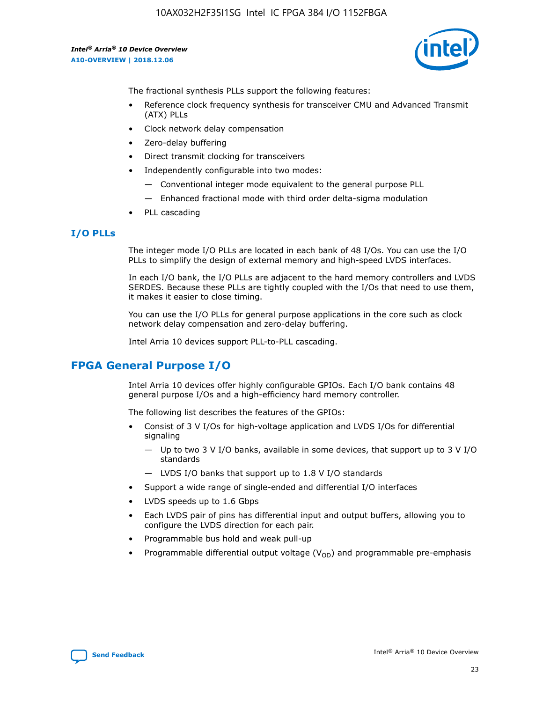

The fractional synthesis PLLs support the following features:

- Reference clock frequency synthesis for transceiver CMU and Advanced Transmit (ATX) PLLs
- Clock network delay compensation
- Zero-delay buffering
- Direct transmit clocking for transceivers
- Independently configurable into two modes:
	- Conventional integer mode equivalent to the general purpose PLL
	- Enhanced fractional mode with third order delta-sigma modulation
- PLL cascading

## **I/O PLLs**

The integer mode I/O PLLs are located in each bank of 48 I/Os. You can use the I/O PLLs to simplify the design of external memory and high-speed LVDS interfaces.

In each I/O bank, the I/O PLLs are adjacent to the hard memory controllers and LVDS SERDES. Because these PLLs are tightly coupled with the I/Os that need to use them, it makes it easier to close timing.

You can use the I/O PLLs for general purpose applications in the core such as clock network delay compensation and zero-delay buffering.

Intel Arria 10 devices support PLL-to-PLL cascading.

## **FPGA General Purpose I/O**

Intel Arria 10 devices offer highly configurable GPIOs. Each I/O bank contains 48 general purpose I/Os and a high-efficiency hard memory controller.

The following list describes the features of the GPIOs:

- Consist of 3 V I/Os for high-voltage application and LVDS I/Os for differential signaling
	- Up to two 3 V I/O banks, available in some devices, that support up to 3 V I/O standards
	- LVDS I/O banks that support up to 1.8 V I/O standards
- Support a wide range of single-ended and differential I/O interfaces
- LVDS speeds up to 1.6 Gbps
- Each LVDS pair of pins has differential input and output buffers, allowing you to configure the LVDS direction for each pair.
- Programmable bus hold and weak pull-up
- Programmable differential output voltage  $(V_{OD})$  and programmable pre-emphasis

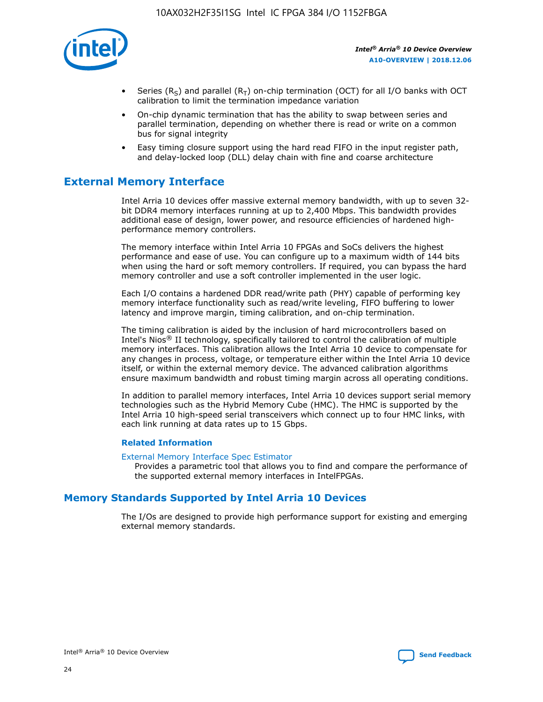

- Series (R<sub>S</sub>) and parallel (R<sub>T</sub>) on-chip termination (OCT) for all I/O banks with OCT calibration to limit the termination impedance variation
- On-chip dynamic termination that has the ability to swap between series and parallel termination, depending on whether there is read or write on a common bus for signal integrity
- Easy timing closure support using the hard read FIFO in the input register path, and delay-locked loop (DLL) delay chain with fine and coarse architecture

## **External Memory Interface**

Intel Arria 10 devices offer massive external memory bandwidth, with up to seven 32 bit DDR4 memory interfaces running at up to 2,400 Mbps. This bandwidth provides additional ease of design, lower power, and resource efficiencies of hardened highperformance memory controllers.

The memory interface within Intel Arria 10 FPGAs and SoCs delivers the highest performance and ease of use. You can configure up to a maximum width of 144 bits when using the hard or soft memory controllers. If required, you can bypass the hard memory controller and use a soft controller implemented in the user logic.

Each I/O contains a hardened DDR read/write path (PHY) capable of performing key memory interface functionality such as read/write leveling, FIFO buffering to lower latency and improve margin, timing calibration, and on-chip termination.

The timing calibration is aided by the inclusion of hard microcontrollers based on Intel's Nios® II technology, specifically tailored to control the calibration of multiple memory interfaces. This calibration allows the Intel Arria 10 device to compensate for any changes in process, voltage, or temperature either within the Intel Arria 10 device itself, or within the external memory device. The advanced calibration algorithms ensure maximum bandwidth and robust timing margin across all operating conditions.

In addition to parallel memory interfaces, Intel Arria 10 devices support serial memory technologies such as the Hybrid Memory Cube (HMC). The HMC is supported by the Intel Arria 10 high-speed serial transceivers which connect up to four HMC links, with each link running at data rates up to 15 Gbps.

## **Related Information**

#### [External Memory Interface Spec Estimator](http://www.altera.com/technology/memory/estimator/mem-emif-index.html)

Provides a parametric tool that allows you to find and compare the performance of the supported external memory interfaces in IntelFPGAs.

## **Memory Standards Supported by Intel Arria 10 Devices**

The I/Os are designed to provide high performance support for existing and emerging external memory standards.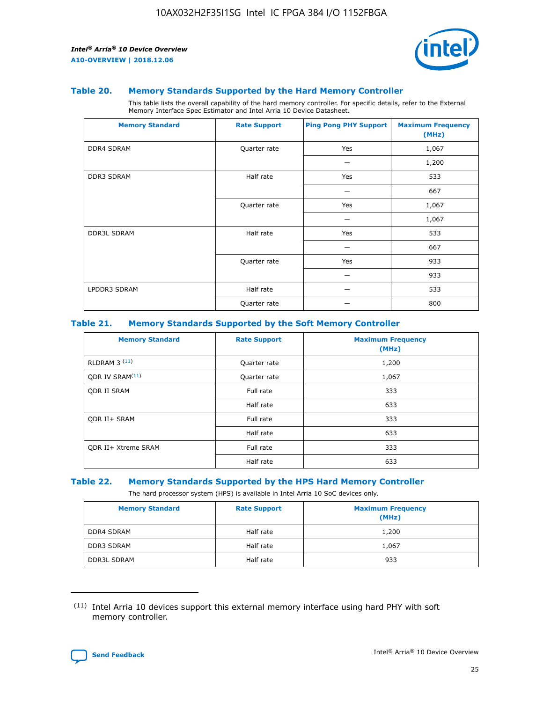

## **Table 20. Memory Standards Supported by the Hard Memory Controller**

This table lists the overall capability of the hard memory controller. For specific details, refer to the External Memory Interface Spec Estimator and Intel Arria 10 Device Datasheet.

| <b>Memory Standard</b> | <b>Rate Support</b> | <b>Ping Pong PHY Support</b> | <b>Maximum Frequency</b><br>(MHz) |
|------------------------|---------------------|------------------------------|-----------------------------------|
| <b>DDR4 SDRAM</b>      | Quarter rate        | Yes                          | 1,067                             |
|                        |                     |                              | 1,200                             |
| <b>DDR3 SDRAM</b>      | Half rate           | Yes                          | 533                               |
|                        |                     |                              | 667                               |
|                        | Quarter rate        | Yes                          | 1,067                             |
|                        |                     |                              | 1,067                             |
| <b>DDR3L SDRAM</b>     | Half rate           | Yes                          | 533                               |
|                        |                     |                              | 667                               |
|                        | Quarter rate        | Yes                          | 933                               |
|                        |                     |                              | 933                               |
| LPDDR3 SDRAM           | Half rate           |                              | 533                               |
|                        | Quarter rate        |                              | 800                               |

## **Table 21. Memory Standards Supported by the Soft Memory Controller**

| <b>Memory Standard</b>      | <b>Rate Support</b> | <b>Maximum Frequency</b><br>(MHz) |
|-----------------------------|---------------------|-----------------------------------|
| <b>RLDRAM 3 (11)</b>        | Quarter rate        | 1,200                             |
| QDR IV SRAM <sup>(11)</sup> | Quarter rate        | 1,067                             |
| <b>ODR II SRAM</b>          | Full rate           | 333                               |
|                             | Half rate           | 633                               |
| <b>ODR II+ SRAM</b>         | Full rate           | 333                               |
|                             | Half rate           | 633                               |
| <b>QDR II+ Xtreme SRAM</b>  | Full rate           | 333                               |
|                             | Half rate           | 633                               |

#### **Table 22. Memory Standards Supported by the HPS Hard Memory Controller**

The hard processor system (HPS) is available in Intel Arria 10 SoC devices only.

| <b>Memory Standard</b> | <b>Rate Support</b> | <b>Maximum Frequency</b><br>(MHz) |
|------------------------|---------------------|-----------------------------------|
| <b>DDR4 SDRAM</b>      | Half rate           | 1,200                             |
| DDR3 SDRAM             | Half rate           | 1,067                             |
| <b>DDR3L SDRAM</b>     | Half rate           | 933                               |

<sup>(11)</sup> Intel Arria 10 devices support this external memory interface using hard PHY with soft memory controller.

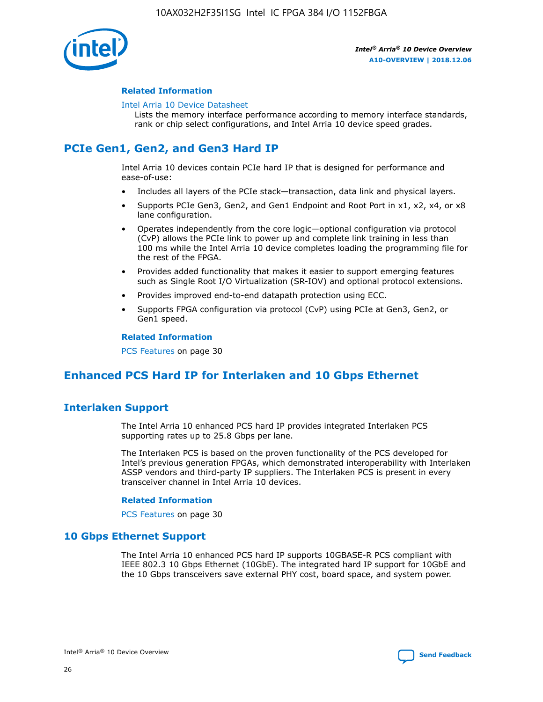

## **Related Information**

#### [Intel Arria 10 Device Datasheet](https://www.intel.com/content/www/us/en/programmable/documentation/mcn1413182292568.html#mcn1413182153340)

Lists the memory interface performance according to memory interface standards, rank or chip select configurations, and Intel Arria 10 device speed grades.

## **PCIe Gen1, Gen2, and Gen3 Hard IP**

Intel Arria 10 devices contain PCIe hard IP that is designed for performance and ease-of-use:

- Includes all layers of the PCIe stack—transaction, data link and physical layers.
- Supports PCIe Gen3, Gen2, and Gen1 Endpoint and Root Port in x1, x2, x4, or x8 lane configuration.
- Operates independently from the core logic—optional configuration via protocol (CvP) allows the PCIe link to power up and complete link training in less than 100 ms while the Intel Arria 10 device completes loading the programming file for the rest of the FPGA.
- Provides added functionality that makes it easier to support emerging features such as Single Root I/O Virtualization (SR-IOV) and optional protocol extensions.
- Provides improved end-to-end datapath protection using ECC.
- Supports FPGA configuration via protocol (CvP) using PCIe at Gen3, Gen2, or Gen1 speed.

#### **Related Information**

PCS Features on page 30

## **Enhanced PCS Hard IP for Interlaken and 10 Gbps Ethernet**

## **Interlaken Support**

The Intel Arria 10 enhanced PCS hard IP provides integrated Interlaken PCS supporting rates up to 25.8 Gbps per lane.

The Interlaken PCS is based on the proven functionality of the PCS developed for Intel's previous generation FPGAs, which demonstrated interoperability with Interlaken ASSP vendors and third-party IP suppliers. The Interlaken PCS is present in every transceiver channel in Intel Arria 10 devices.

## **Related Information**

PCS Features on page 30

## **10 Gbps Ethernet Support**

The Intel Arria 10 enhanced PCS hard IP supports 10GBASE-R PCS compliant with IEEE 802.3 10 Gbps Ethernet (10GbE). The integrated hard IP support for 10GbE and the 10 Gbps transceivers save external PHY cost, board space, and system power.

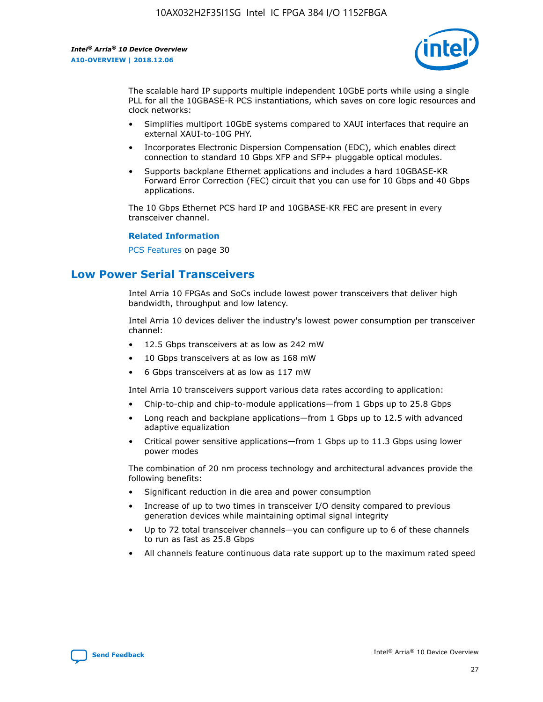

The scalable hard IP supports multiple independent 10GbE ports while using a single PLL for all the 10GBASE-R PCS instantiations, which saves on core logic resources and clock networks:

- Simplifies multiport 10GbE systems compared to XAUI interfaces that require an external XAUI-to-10G PHY.
- Incorporates Electronic Dispersion Compensation (EDC), which enables direct connection to standard 10 Gbps XFP and SFP+ pluggable optical modules.
- Supports backplane Ethernet applications and includes a hard 10GBASE-KR Forward Error Correction (FEC) circuit that you can use for 10 Gbps and 40 Gbps applications.

The 10 Gbps Ethernet PCS hard IP and 10GBASE-KR FEC are present in every transceiver channel.

## **Related Information**

PCS Features on page 30

## **Low Power Serial Transceivers**

Intel Arria 10 FPGAs and SoCs include lowest power transceivers that deliver high bandwidth, throughput and low latency.

Intel Arria 10 devices deliver the industry's lowest power consumption per transceiver channel:

- 12.5 Gbps transceivers at as low as 242 mW
- 10 Gbps transceivers at as low as 168 mW
- 6 Gbps transceivers at as low as 117 mW

Intel Arria 10 transceivers support various data rates according to application:

- Chip-to-chip and chip-to-module applications—from 1 Gbps up to 25.8 Gbps
- Long reach and backplane applications—from 1 Gbps up to 12.5 with advanced adaptive equalization
- Critical power sensitive applications—from 1 Gbps up to 11.3 Gbps using lower power modes

The combination of 20 nm process technology and architectural advances provide the following benefits:

- Significant reduction in die area and power consumption
- Increase of up to two times in transceiver I/O density compared to previous generation devices while maintaining optimal signal integrity
- Up to 72 total transceiver channels—you can configure up to 6 of these channels to run as fast as 25.8 Gbps
- All channels feature continuous data rate support up to the maximum rated speed

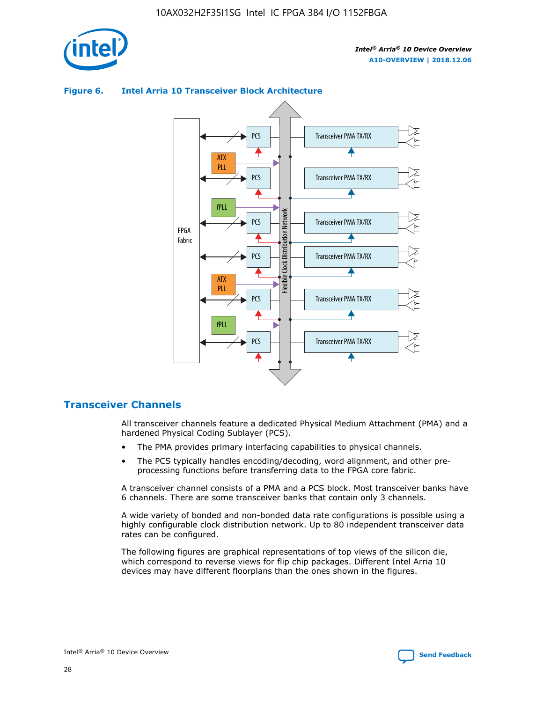





## **Transceiver Channels**

All transceiver channels feature a dedicated Physical Medium Attachment (PMA) and a hardened Physical Coding Sublayer (PCS).

- The PMA provides primary interfacing capabilities to physical channels.
- The PCS typically handles encoding/decoding, word alignment, and other preprocessing functions before transferring data to the FPGA core fabric.

A transceiver channel consists of a PMA and a PCS block. Most transceiver banks have 6 channels. There are some transceiver banks that contain only 3 channels.

A wide variety of bonded and non-bonded data rate configurations is possible using a highly configurable clock distribution network. Up to 80 independent transceiver data rates can be configured.

The following figures are graphical representations of top views of the silicon die, which correspond to reverse views for flip chip packages. Different Intel Arria 10 devices may have different floorplans than the ones shown in the figures.

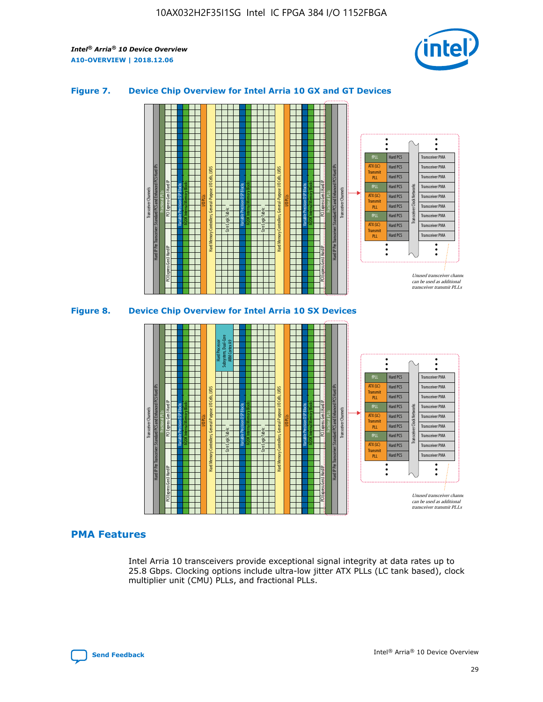

## **Figure 7. Device Chip Overview for Intel Arria 10 GX and GT Devices**



## **PMA Features**

Intel Arria 10 transceivers provide exceptional signal integrity at data rates up to 25.8 Gbps. Clocking options include ultra-low jitter ATX PLLs (LC tank based), clock multiplier unit (CMU) PLLs, and fractional PLLs.

Hard PCS Hard PCS Hard PCS Hard PCS Hard PCS

ATX (LC) Transmi PLL fPLL ATX (LC) **Transmit** PLL

Transceiver PMA Transceiver PMA Transceiver PMA

Transceiver PMA Transceiver PMA

Unused transceiver chann can be used as additional transceiver transmit PLLs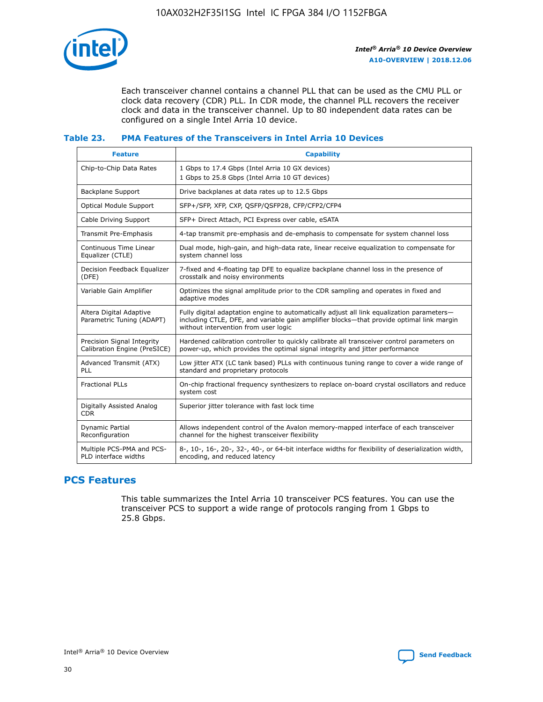

Each transceiver channel contains a channel PLL that can be used as the CMU PLL or clock data recovery (CDR) PLL. In CDR mode, the channel PLL recovers the receiver clock and data in the transceiver channel. Up to 80 independent data rates can be configured on a single Intel Arria 10 device.

## **Table 23. PMA Features of the Transceivers in Intel Arria 10 Devices**

| <b>Feature</b>                                             | <b>Capability</b>                                                                                                                                                                                                             |
|------------------------------------------------------------|-------------------------------------------------------------------------------------------------------------------------------------------------------------------------------------------------------------------------------|
| Chip-to-Chip Data Rates                                    | 1 Gbps to 17.4 Gbps (Intel Arria 10 GX devices)<br>1 Gbps to 25.8 Gbps (Intel Arria 10 GT devices)                                                                                                                            |
| Backplane Support                                          | Drive backplanes at data rates up to 12.5 Gbps                                                                                                                                                                                |
| <b>Optical Module Support</b>                              | SFP+/SFP, XFP, CXP, QSFP/QSFP28, CFP/CFP2/CFP4                                                                                                                                                                                |
| Cable Driving Support                                      | SFP+ Direct Attach, PCI Express over cable, eSATA                                                                                                                                                                             |
| Transmit Pre-Emphasis                                      | 4-tap transmit pre-emphasis and de-emphasis to compensate for system channel loss                                                                                                                                             |
| Continuous Time Linear<br>Equalizer (CTLE)                 | Dual mode, high-gain, and high-data rate, linear receive equalization to compensate for<br>system channel loss                                                                                                                |
| Decision Feedback Equalizer<br>(DFE)                       | 7-fixed and 4-floating tap DFE to equalize backplane channel loss in the presence of<br>crosstalk and noisy environments                                                                                                      |
| Variable Gain Amplifier                                    | Optimizes the signal amplitude prior to the CDR sampling and operates in fixed and<br>adaptive modes                                                                                                                          |
| Altera Digital Adaptive<br>Parametric Tuning (ADAPT)       | Fully digital adaptation engine to automatically adjust all link equalization parameters-<br>including CTLE, DFE, and variable gain amplifier blocks—that provide optimal link margin<br>without intervention from user logic |
| Precision Signal Integrity<br>Calibration Engine (PreSICE) | Hardened calibration controller to quickly calibrate all transceiver control parameters on<br>power-up, which provides the optimal signal integrity and jitter performance                                                    |
| Advanced Transmit (ATX)<br>PLL                             | Low jitter ATX (LC tank based) PLLs with continuous tuning range to cover a wide range of<br>standard and proprietary protocols                                                                                               |
| <b>Fractional PLLs</b>                                     | On-chip fractional frequency synthesizers to replace on-board crystal oscillators and reduce<br>system cost                                                                                                                   |
| Digitally Assisted Analog<br><b>CDR</b>                    | Superior jitter tolerance with fast lock time                                                                                                                                                                                 |
| Dynamic Partial<br>Reconfiguration                         | Allows independent control of the Avalon memory-mapped interface of each transceiver<br>channel for the highest transceiver flexibility                                                                                       |
| Multiple PCS-PMA and PCS-<br>PLD interface widths          | 8-, 10-, 16-, 20-, 32-, 40-, or 64-bit interface widths for flexibility of deserialization width,<br>encoding, and reduced latency                                                                                            |

## **PCS Features**

This table summarizes the Intel Arria 10 transceiver PCS features. You can use the transceiver PCS to support a wide range of protocols ranging from 1 Gbps to 25.8 Gbps.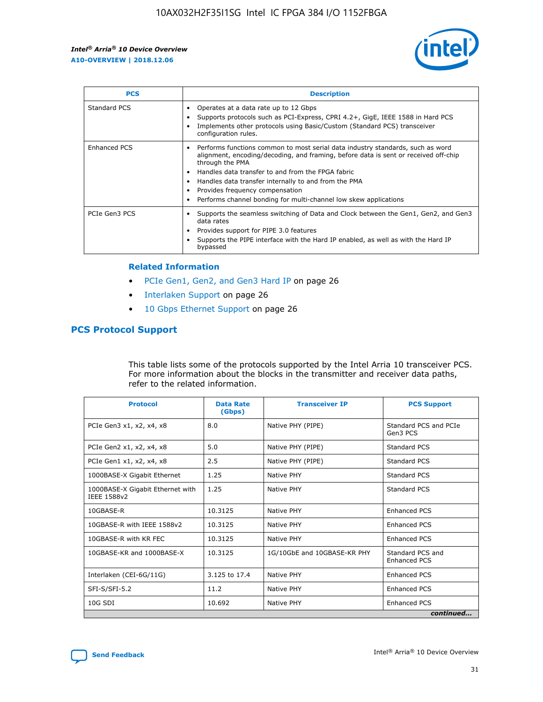

| <b>PCS</b>          | <b>Description</b>                                                                                                                                                                                                                                                                                                                                                                                             |
|---------------------|----------------------------------------------------------------------------------------------------------------------------------------------------------------------------------------------------------------------------------------------------------------------------------------------------------------------------------------------------------------------------------------------------------------|
| Standard PCS        | Operates at a data rate up to 12 Gbps<br>Supports protocols such as PCI-Express, CPRI 4.2+, GigE, IEEE 1588 in Hard PCS<br>Implements other protocols using Basic/Custom (Standard PCS) transceiver<br>configuration rules.                                                                                                                                                                                    |
| <b>Enhanced PCS</b> | Performs functions common to most serial data industry standards, such as word<br>alignment, encoding/decoding, and framing, before data is sent or received off-chip<br>through the PMA<br>• Handles data transfer to and from the FPGA fabric<br>Handles data transfer internally to and from the PMA<br>Provides frequency compensation<br>Performs channel bonding for multi-channel low skew applications |
| PCIe Gen3 PCS       | Supports the seamless switching of Data and Clock between the Gen1, Gen2, and Gen3<br>data rates<br>Provides support for PIPE 3.0 features<br>Supports the PIPE interface with the Hard IP enabled, as well as with the Hard IP<br>bypassed                                                                                                                                                                    |

#### **Related Information**

- PCIe Gen1, Gen2, and Gen3 Hard IP on page 26
- Interlaken Support on page 26
- 10 Gbps Ethernet Support on page 26

## **PCS Protocol Support**

This table lists some of the protocols supported by the Intel Arria 10 transceiver PCS. For more information about the blocks in the transmitter and receiver data paths, refer to the related information.

| <b>Protocol</b>                                 | <b>Data Rate</b><br>(Gbps) | <b>Transceiver IP</b>       | <b>PCS Support</b>                      |
|-------------------------------------------------|----------------------------|-----------------------------|-----------------------------------------|
| PCIe Gen3 x1, x2, x4, x8                        | 8.0                        | Native PHY (PIPE)           | Standard PCS and PCIe<br>Gen3 PCS       |
| PCIe Gen2 x1, x2, x4, x8                        | 5.0                        | Native PHY (PIPE)           | <b>Standard PCS</b>                     |
| PCIe Gen1 x1, x2, x4, x8                        | 2.5                        | Native PHY (PIPE)           | Standard PCS                            |
| 1000BASE-X Gigabit Ethernet                     | 1.25                       | Native PHY                  | <b>Standard PCS</b>                     |
| 1000BASE-X Gigabit Ethernet with<br>IEEE 1588v2 | 1.25                       | Native PHY                  | Standard PCS                            |
| 10GBASE-R                                       | 10.3125                    | Native PHY                  | <b>Enhanced PCS</b>                     |
| 10GBASE-R with IEEE 1588v2                      | 10.3125                    | Native PHY                  | <b>Enhanced PCS</b>                     |
| 10GBASE-R with KR FEC                           | 10.3125                    | Native PHY                  | <b>Enhanced PCS</b>                     |
| 10GBASE-KR and 1000BASE-X                       | 10.3125                    | 1G/10GbE and 10GBASE-KR PHY | Standard PCS and<br><b>Enhanced PCS</b> |
| Interlaken (CEI-6G/11G)                         | 3.125 to 17.4              | Native PHY                  | <b>Enhanced PCS</b>                     |
| SFI-S/SFI-5.2                                   | 11.2                       | Native PHY                  | <b>Enhanced PCS</b>                     |
| $10G$ SDI                                       | 10.692                     | Native PHY                  | <b>Enhanced PCS</b>                     |
|                                                 |                            |                             | continued                               |

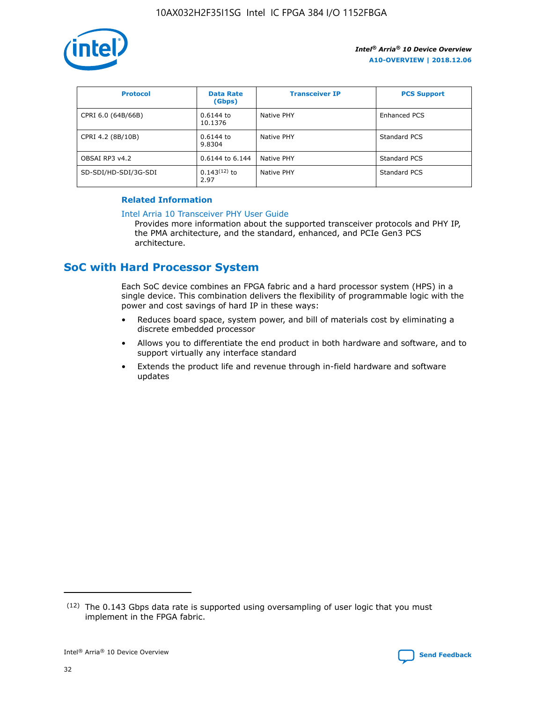

| <b>Protocol</b>      | <b>Data Rate</b><br>(Gbps) | <b>Transceiver IP</b> | <b>PCS Support</b> |
|----------------------|----------------------------|-----------------------|--------------------|
| CPRI 6.0 (64B/66B)   | 0.6144 to<br>10.1376       | Native PHY            | Enhanced PCS       |
| CPRI 4.2 (8B/10B)    | 0.6144 to<br>9.8304        | Native PHY            | Standard PCS       |
| OBSAI RP3 v4.2       | 0.6144 to 6.144            | Native PHY            | Standard PCS       |
| SD-SDI/HD-SDI/3G-SDI | $0.143(12)$ to<br>2.97     | Native PHY            | Standard PCS       |

## **Related Information**

#### [Intel Arria 10 Transceiver PHY User Guide](https://www.intel.com/content/www/us/en/programmable/documentation/nik1398707230472.html#nik1398707091164)

Provides more information about the supported transceiver protocols and PHY IP, the PMA architecture, and the standard, enhanced, and PCIe Gen3 PCS architecture.

## **SoC with Hard Processor System**

Each SoC device combines an FPGA fabric and a hard processor system (HPS) in a single device. This combination delivers the flexibility of programmable logic with the power and cost savings of hard IP in these ways:

- Reduces board space, system power, and bill of materials cost by eliminating a discrete embedded processor
- Allows you to differentiate the end product in both hardware and software, and to support virtually any interface standard
- Extends the product life and revenue through in-field hardware and software updates

 $(12)$  The 0.143 Gbps data rate is supported using oversampling of user logic that you must implement in the FPGA fabric.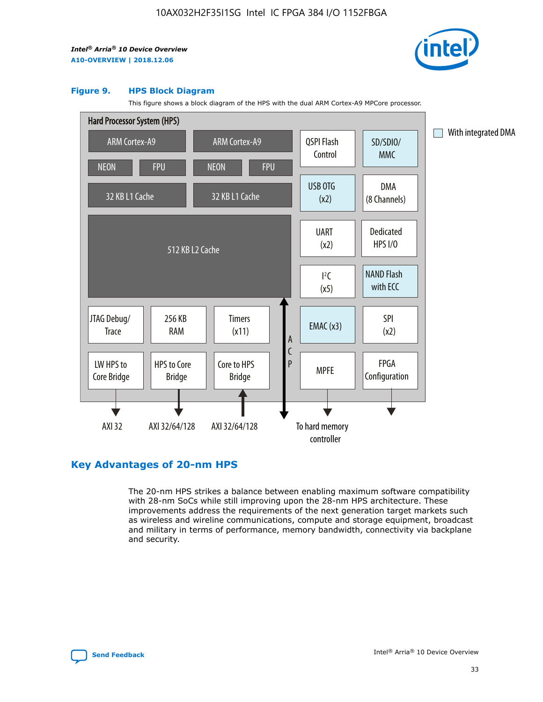

#### **Figure 9. HPS Block Diagram**

This figure shows a block diagram of the HPS with the dual ARM Cortex-A9 MPCore processor.



## **Key Advantages of 20-nm HPS**

The 20-nm HPS strikes a balance between enabling maximum software compatibility with 28-nm SoCs while still improving upon the 28-nm HPS architecture. These improvements address the requirements of the next generation target markets such as wireless and wireline communications, compute and storage equipment, broadcast and military in terms of performance, memory bandwidth, connectivity via backplane and security.

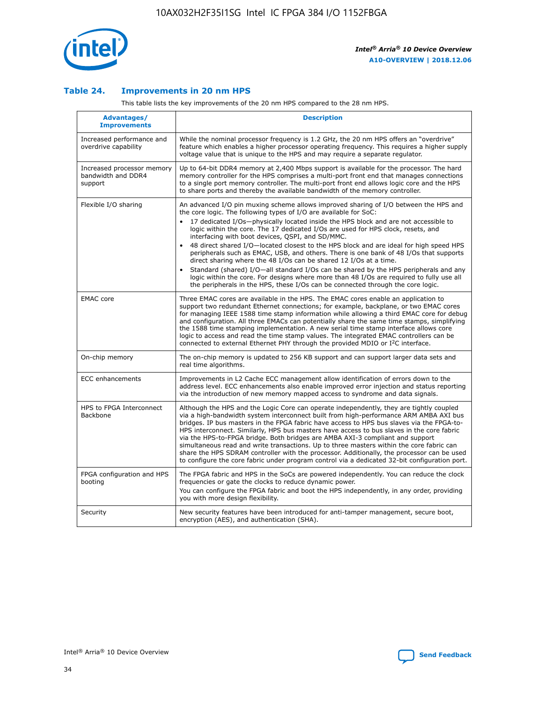

## **Table 24. Improvements in 20 nm HPS**

This table lists the key improvements of the 20 nm HPS compared to the 28 nm HPS.

| Advantages/<br><b>Improvements</b>                          | <b>Description</b>                                                                                                                                                                                                                                                                                                                                                                                                                                                                                                                                                                                                                                                                                                                                                                                                                                                                                                      |
|-------------------------------------------------------------|-------------------------------------------------------------------------------------------------------------------------------------------------------------------------------------------------------------------------------------------------------------------------------------------------------------------------------------------------------------------------------------------------------------------------------------------------------------------------------------------------------------------------------------------------------------------------------------------------------------------------------------------------------------------------------------------------------------------------------------------------------------------------------------------------------------------------------------------------------------------------------------------------------------------------|
| Increased performance and<br>overdrive capability           | While the nominal processor frequency is 1.2 GHz, the 20 nm HPS offers an "overdrive"<br>feature which enables a higher processor operating frequency. This requires a higher supply<br>voltage value that is unique to the HPS and may require a separate regulator.                                                                                                                                                                                                                                                                                                                                                                                                                                                                                                                                                                                                                                                   |
| Increased processor memory<br>bandwidth and DDR4<br>support | Up to 64-bit DDR4 memory at 2,400 Mbps support is available for the processor. The hard<br>memory controller for the HPS comprises a multi-port front end that manages connections<br>to a single port memory controller. The multi-port front end allows logic core and the HPS<br>to share ports and thereby the available bandwidth of the memory controller.                                                                                                                                                                                                                                                                                                                                                                                                                                                                                                                                                        |
| Flexible I/O sharing                                        | An advanced I/O pin muxing scheme allows improved sharing of I/O between the HPS and<br>the core logic. The following types of I/O are available for SoC:<br>17 dedicated I/Os-physically located inside the HPS block and are not accessible to<br>logic within the core. The 17 dedicated I/Os are used for HPS clock, resets, and<br>interfacing with boot devices, QSPI, and SD/MMC.<br>48 direct shared I/O-located closest to the HPS block and are ideal for high speed HPS<br>peripherals such as EMAC, USB, and others. There is one bank of 48 I/Os that supports<br>direct sharing where the 48 I/Os can be shared 12 I/Os at a time.<br>Standard (shared) I/O-all standard I/Os can be shared by the HPS peripherals and any<br>logic within the core. For designs where more than 48 I/Os are reguired to fully use all<br>the peripherals in the HPS, these I/Os can be connected through the core logic. |
| <b>EMAC</b> core                                            | Three EMAC cores are available in the HPS. The EMAC cores enable an application to<br>support two redundant Ethernet connections; for example, backplane, or two EMAC cores<br>for managing IEEE 1588 time stamp information while allowing a third EMAC core for debug<br>and configuration. All three EMACs can potentially share the same time stamps, simplifying<br>the 1588 time stamping implementation. A new serial time stamp interface allows core<br>logic to access and read the time stamp values. The integrated EMAC controllers can be<br>connected to external Ethernet PHY through the provided MDIO or I <sup>2</sup> C interface.                                                                                                                                                                                                                                                                  |
| On-chip memory                                              | The on-chip memory is updated to 256 KB support and can support larger data sets and<br>real time algorithms.                                                                                                                                                                                                                                                                                                                                                                                                                                                                                                                                                                                                                                                                                                                                                                                                           |
| <b>ECC</b> enhancements                                     | Improvements in L2 Cache ECC management allow identification of errors down to the<br>address level. ECC enhancements also enable improved error injection and status reporting<br>via the introduction of new memory mapped access to syndrome and data signals.                                                                                                                                                                                                                                                                                                                                                                                                                                                                                                                                                                                                                                                       |
| HPS to FPGA Interconnect<br>Backbone                        | Although the HPS and the Logic Core can operate independently, they are tightly coupled<br>via a high-bandwidth system interconnect built from high-performance ARM AMBA AXI bus<br>bridges. IP bus masters in the FPGA fabric have access to HPS bus slaves via the FPGA-to-<br>HPS interconnect. Similarly, HPS bus masters have access to bus slaves in the core fabric<br>via the HPS-to-FPGA bridge. Both bridges are AMBA AXI-3 compliant and support<br>simultaneous read and write transactions. Up to three masters within the core fabric can<br>share the HPS SDRAM controller with the processor. Additionally, the processor can be used<br>to configure the core fabric under program control via a dedicated 32-bit configuration port.                                                                                                                                                                  |
| FPGA configuration and HPS<br>booting                       | The FPGA fabric and HPS in the SoCs are powered independently. You can reduce the clock<br>frequencies or gate the clocks to reduce dynamic power.<br>You can configure the FPGA fabric and boot the HPS independently, in any order, providing<br>you with more design flexibility.                                                                                                                                                                                                                                                                                                                                                                                                                                                                                                                                                                                                                                    |
| Security                                                    | New security features have been introduced for anti-tamper management, secure boot,<br>encryption (AES), and authentication (SHA).                                                                                                                                                                                                                                                                                                                                                                                                                                                                                                                                                                                                                                                                                                                                                                                      |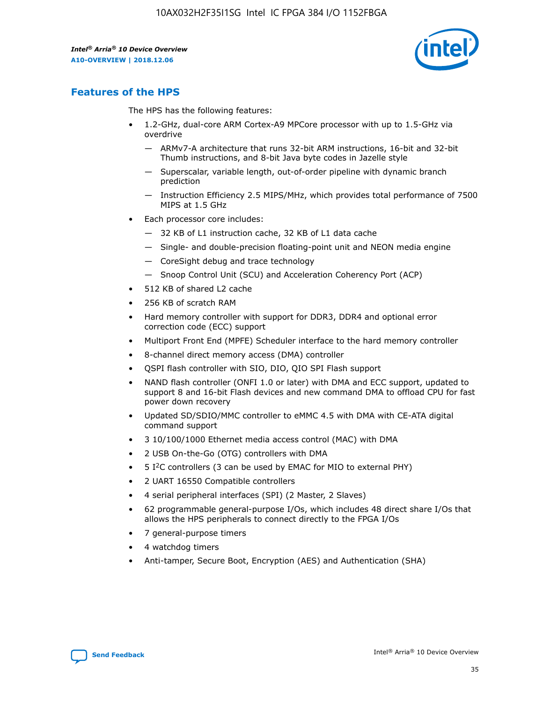

## **Features of the HPS**

The HPS has the following features:

- 1.2-GHz, dual-core ARM Cortex-A9 MPCore processor with up to 1.5-GHz via overdrive
	- ARMv7-A architecture that runs 32-bit ARM instructions, 16-bit and 32-bit Thumb instructions, and 8-bit Java byte codes in Jazelle style
	- Superscalar, variable length, out-of-order pipeline with dynamic branch prediction
	- Instruction Efficiency 2.5 MIPS/MHz, which provides total performance of 7500 MIPS at 1.5 GHz
- Each processor core includes:
	- 32 KB of L1 instruction cache, 32 KB of L1 data cache
	- Single- and double-precision floating-point unit and NEON media engine
	- CoreSight debug and trace technology
	- Snoop Control Unit (SCU) and Acceleration Coherency Port (ACP)
- 512 KB of shared L2 cache
- 256 KB of scratch RAM
- Hard memory controller with support for DDR3, DDR4 and optional error correction code (ECC) support
- Multiport Front End (MPFE) Scheduler interface to the hard memory controller
- 8-channel direct memory access (DMA) controller
- QSPI flash controller with SIO, DIO, QIO SPI Flash support
- NAND flash controller (ONFI 1.0 or later) with DMA and ECC support, updated to support 8 and 16-bit Flash devices and new command DMA to offload CPU for fast power down recovery
- Updated SD/SDIO/MMC controller to eMMC 4.5 with DMA with CE-ATA digital command support
- 3 10/100/1000 Ethernet media access control (MAC) with DMA
- 2 USB On-the-Go (OTG) controllers with DMA
- $\bullet$  5 I<sup>2</sup>C controllers (3 can be used by EMAC for MIO to external PHY)
- 2 UART 16550 Compatible controllers
- 4 serial peripheral interfaces (SPI) (2 Master, 2 Slaves)
- 62 programmable general-purpose I/Os, which includes 48 direct share I/Os that allows the HPS peripherals to connect directly to the FPGA I/Os
- 7 general-purpose timers
- 4 watchdog timers
- Anti-tamper, Secure Boot, Encryption (AES) and Authentication (SHA)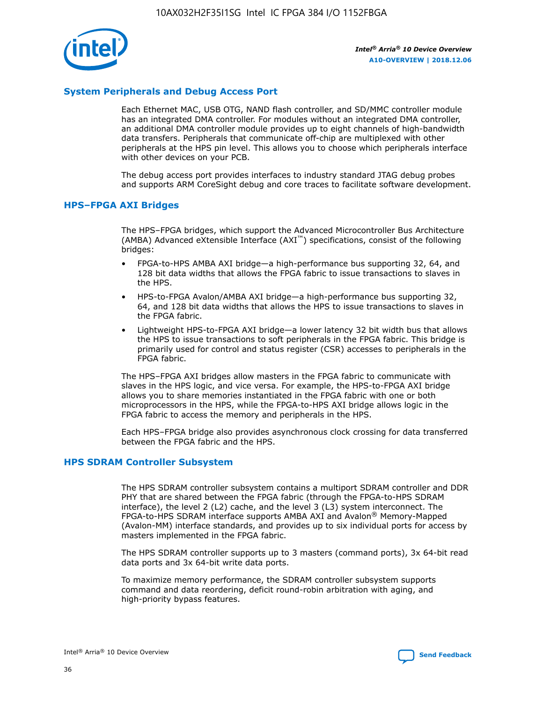

## **System Peripherals and Debug Access Port**

Each Ethernet MAC, USB OTG, NAND flash controller, and SD/MMC controller module has an integrated DMA controller. For modules without an integrated DMA controller, an additional DMA controller module provides up to eight channels of high-bandwidth data transfers. Peripherals that communicate off-chip are multiplexed with other peripherals at the HPS pin level. This allows you to choose which peripherals interface with other devices on your PCB.

The debug access port provides interfaces to industry standard JTAG debug probes and supports ARM CoreSight debug and core traces to facilitate software development.

### **HPS–FPGA AXI Bridges**

The HPS–FPGA bridges, which support the Advanced Microcontroller Bus Architecture (AMBA) Advanced eXtensible Interface (AXI™) specifications, consist of the following bridges:

- FPGA-to-HPS AMBA AXI bridge—a high-performance bus supporting 32, 64, and 128 bit data widths that allows the FPGA fabric to issue transactions to slaves in the HPS.
- HPS-to-FPGA Avalon/AMBA AXI bridge—a high-performance bus supporting 32, 64, and 128 bit data widths that allows the HPS to issue transactions to slaves in the FPGA fabric.
- Lightweight HPS-to-FPGA AXI bridge—a lower latency 32 bit width bus that allows the HPS to issue transactions to soft peripherals in the FPGA fabric. This bridge is primarily used for control and status register (CSR) accesses to peripherals in the FPGA fabric.

The HPS–FPGA AXI bridges allow masters in the FPGA fabric to communicate with slaves in the HPS logic, and vice versa. For example, the HPS-to-FPGA AXI bridge allows you to share memories instantiated in the FPGA fabric with one or both microprocessors in the HPS, while the FPGA-to-HPS AXI bridge allows logic in the FPGA fabric to access the memory and peripherals in the HPS.

Each HPS–FPGA bridge also provides asynchronous clock crossing for data transferred between the FPGA fabric and the HPS.

#### **HPS SDRAM Controller Subsystem**

The HPS SDRAM controller subsystem contains a multiport SDRAM controller and DDR PHY that are shared between the FPGA fabric (through the FPGA-to-HPS SDRAM interface), the level 2 (L2) cache, and the level 3 (L3) system interconnect. The FPGA-to-HPS SDRAM interface supports AMBA AXI and Avalon® Memory-Mapped (Avalon-MM) interface standards, and provides up to six individual ports for access by masters implemented in the FPGA fabric.

The HPS SDRAM controller supports up to 3 masters (command ports), 3x 64-bit read data ports and 3x 64-bit write data ports.

To maximize memory performance, the SDRAM controller subsystem supports command and data reordering, deficit round-robin arbitration with aging, and high-priority bypass features.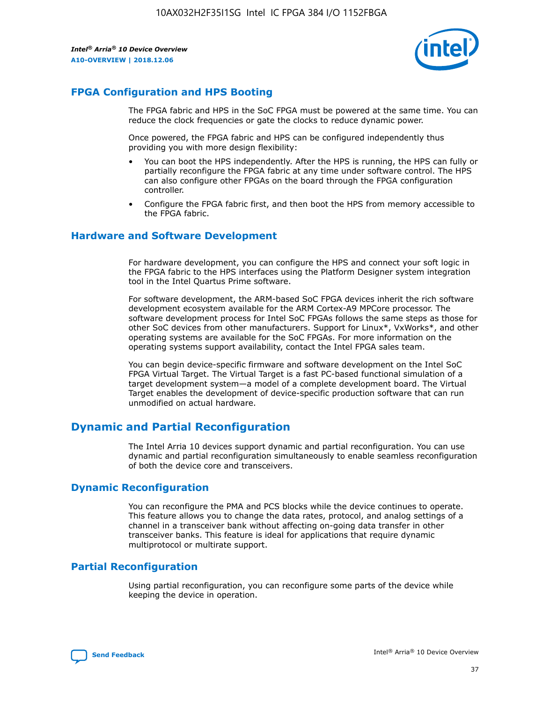

## **FPGA Configuration and HPS Booting**

The FPGA fabric and HPS in the SoC FPGA must be powered at the same time. You can reduce the clock frequencies or gate the clocks to reduce dynamic power.

Once powered, the FPGA fabric and HPS can be configured independently thus providing you with more design flexibility:

- You can boot the HPS independently. After the HPS is running, the HPS can fully or partially reconfigure the FPGA fabric at any time under software control. The HPS can also configure other FPGAs on the board through the FPGA configuration controller.
- Configure the FPGA fabric first, and then boot the HPS from memory accessible to the FPGA fabric.

## **Hardware and Software Development**

For hardware development, you can configure the HPS and connect your soft logic in the FPGA fabric to the HPS interfaces using the Platform Designer system integration tool in the Intel Quartus Prime software.

For software development, the ARM-based SoC FPGA devices inherit the rich software development ecosystem available for the ARM Cortex-A9 MPCore processor. The software development process for Intel SoC FPGAs follows the same steps as those for other SoC devices from other manufacturers. Support for Linux\*, VxWorks\*, and other operating systems are available for the SoC FPGAs. For more information on the operating systems support availability, contact the Intel FPGA sales team.

You can begin device-specific firmware and software development on the Intel SoC FPGA Virtual Target. The Virtual Target is a fast PC-based functional simulation of a target development system—a model of a complete development board. The Virtual Target enables the development of device-specific production software that can run unmodified on actual hardware.

## **Dynamic and Partial Reconfiguration**

The Intel Arria 10 devices support dynamic and partial reconfiguration. You can use dynamic and partial reconfiguration simultaneously to enable seamless reconfiguration of both the device core and transceivers.

## **Dynamic Reconfiguration**

You can reconfigure the PMA and PCS blocks while the device continues to operate. This feature allows you to change the data rates, protocol, and analog settings of a channel in a transceiver bank without affecting on-going data transfer in other transceiver banks. This feature is ideal for applications that require dynamic multiprotocol or multirate support.

## **Partial Reconfiguration**

Using partial reconfiguration, you can reconfigure some parts of the device while keeping the device in operation.

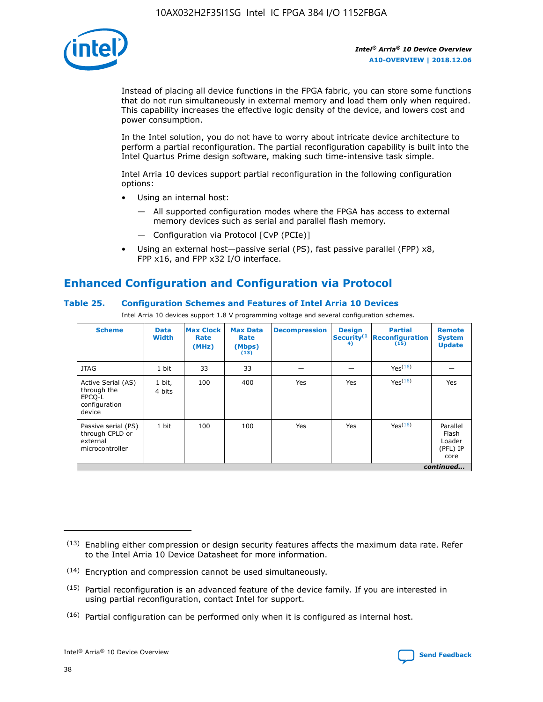

Instead of placing all device functions in the FPGA fabric, you can store some functions that do not run simultaneously in external memory and load them only when required. This capability increases the effective logic density of the device, and lowers cost and power consumption.

In the Intel solution, you do not have to worry about intricate device architecture to perform a partial reconfiguration. The partial reconfiguration capability is built into the Intel Quartus Prime design software, making such time-intensive task simple.

Intel Arria 10 devices support partial reconfiguration in the following configuration options:

- Using an internal host:
	- All supported configuration modes where the FPGA has access to external memory devices such as serial and parallel flash memory.
	- Configuration via Protocol [CvP (PCIe)]
- Using an external host—passive serial (PS), fast passive parallel (FPP) x8, FPP x16, and FPP x32 I/O interface.

## **Enhanced Configuration and Configuration via Protocol**

## **Table 25. Configuration Schemes and Features of Intel Arria 10 Devices**

Intel Arria 10 devices support 1.8 V programming voltage and several configuration schemes.

| <b>Scheme</b>                                                          | <b>Data</b><br><b>Width</b> | <b>Max Clock</b><br>Rate<br>(MHz) | <b>Max Data</b><br>Rate<br>(Mbps)<br>(13) | <b>Decompression</b> | <b>Design</b><br>Security <sup>(1</sup><br>4) | <b>Partial</b><br>Reconfiguration<br>(15) | <b>Remote</b><br><b>System</b><br><b>Update</b> |
|------------------------------------------------------------------------|-----------------------------|-----------------------------------|-------------------------------------------|----------------------|-----------------------------------------------|-------------------------------------------|-------------------------------------------------|
| <b>JTAG</b>                                                            | 1 bit                       | 33                                | 33                                        |                      |                                               | Yes(16)                                   |                                                 |
| Active Serial (AS)<br>through the<br>EPCO-L<br>configuration<br>device | 1 bit,<br>4 bits            | 100                               | 400                                       | Yes                  | Yes                                           | Yes(16)                                   | Yes                                             |
| Passive serial (PS)<br>through CPLD or<br>external<br>microcontroller  | 1 bit                       | 100                               | 100                                       | Yes                  | Yes                                           | Yes <sup>(16)</sup>                       | Parallel<br>Flash<br>Loader<br>(PFL) IP<br>core |
|                                                                        | continued                   |                                   |                                           |                      |                                               |                                           |                                                 |

<sup>(13)</sup> Enabling either compression or design security features affects the maximum data rate. Refer to the Intel Arria 10 Device Datasheet for more information.

<sup>(14)</sup> Encryption and compression cannot be used simultaneously.

 $(15)$  Partial reconfiguration is an advanced feature of the device family. If you are interested in using partial reconfiguration, contact Intel for support.

 $(16)$  Partial configuration can be performed only when it is configured as internal host.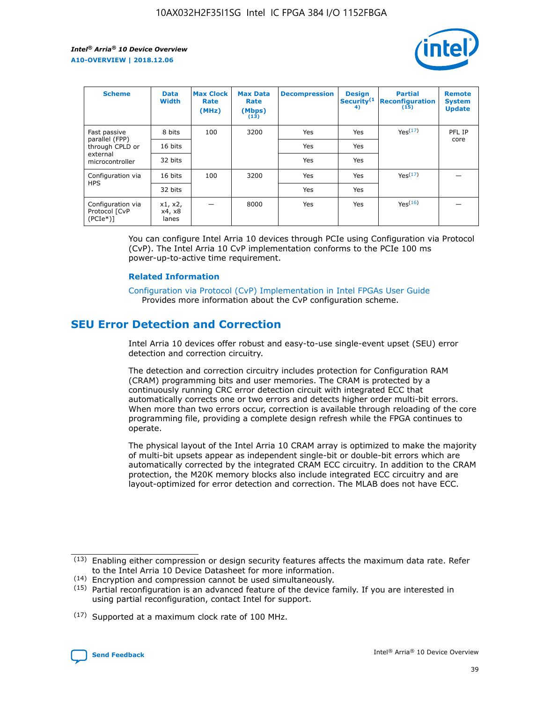

| <b>Scheme</b>                                   | <b>Data</b><br><b>Width</b> | <b>Max Clock</b><br>Rate<br>(MHz) | <b>Max Data</b><br>Rate<br>(Mbps)<br>(13) | <b>Decompression</b> | <b>Design</b><br>Security <sup>(1</sup><br>4) | <b>Partial</b><br><b>Reconfiguration</b><br>(15) | <b>Remote</b><br><b>System</b><br><b>Update</b> |
|-------------------------------------------------|-----------------------------|-----------------------------------|-------------------------------------------|----------------------|-----------------------------------------------|--------------------------------------------------|-------------------------------------------------|
| Fast passive                                    | 8 bits                      | 100                               | 3200                                      | Yes                  | Yes                                           | Yes(17)                                          | PFL IP                                          |
| parallel (FPP)<br>through CPLD or               | 16 bits                     |                                   |                                           | Yes                  | Yes                                           |                                                  | core                                            |
| external<br>microcontroller                     | 32 bits                     |                                   |                                           | Yes                  | Yes                                           |                                                  |                                                 |
| Configuration via                               | 16 bits                     | 100                               | 3200                                      | Yes                  | Yes                                           | Yes <sup>(17)</sup>                              |                                                 |
| <b>HPS</b>                                      | 32 bits                     |                                   |                                           | Yes                  | Yes                                           |                                                  |                                                 |
| Configuration via<br>Protocol [CvP<br>$(PCIe*)$ | x1, x2,<br>x4, x8<br>lanes  |                                   | 8000                                      | Yes                  | Yes                                           | Yes <sup>(16)</sup>                              |                                                 |

You can configure Intel Arria 10 devices through PCIe using Configuration via Protocol (CvP). The Intel Arria 10 CvP implementation conforms to the PCIe 100 ms power-up-to-active time requirement.

#### **Related Information**

[Configuration via Protocol \(CvP\) Implementation in Intel FPGAs User Guide](https://www.intel.com/content/www/us/en/programmable/documentation/dsu1441819344145.html#dsu1442269728522) Provides more information about the CvP configuration scheme.

## **SEU Error Detection and Correction**

Intel Arria 10 devices offer robust and easy-to-use single-event upset (SEU) error detection and correction circuitry.

The detection and correction circuitry includes protection for Configuration RAM (CRAM) programming bits and user memories. The CRAM is protected by a continuously running CRC error detection circuit with integrated ECC that automatically corrects one or two errors and detects higher order multi-bit errors. When more than two errors occur, correction is available through reloading of the core programming file, providing a complete design refresh while the FPGA continues to operate.

The physical layout of the Intel Arria 10 CRAM array is optimized to make the majority of multi-bit upsets appear as independent single-bit or double-bit errors which are automatically corrected by the integrated CRAM ECC circuitry. In addition to the CRAM protection, the M20K memory blocks also include integrated ECC circuitry and are layout-optimized for error detection and correction. The MLAB does not have ECC.

(14) Encryption and compression cannot be used simultaneously.

<sup>(17)</sup> Supported at a maximum clock rate of 100 MHz.



 $(13)$  Enabling either compression or design security features affects the maximum data rate. Refer to the Intel Arria 10 Device Datasheet for more information.

 $(15)$  Partial reconfiguration is an advanced feature of the device family. If you are interested in using partial reconfiguration, contact Intel for support.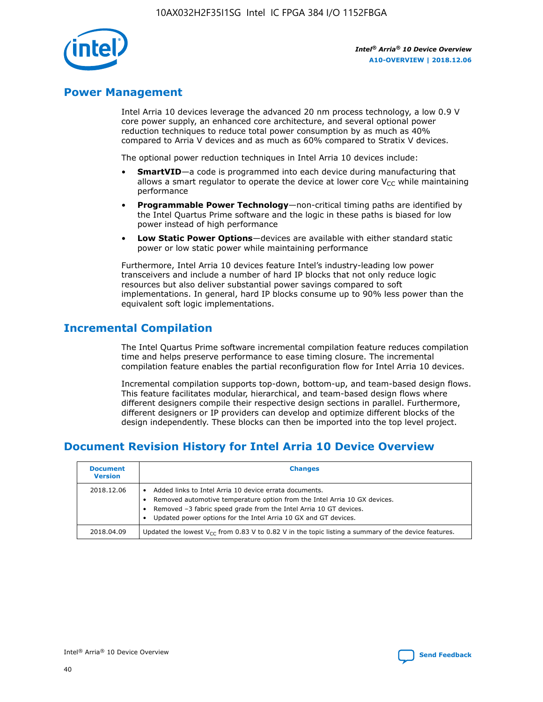

## **Power Management**

Intel Arria 10 devices leverage the advanced 20 nm process technology, a low 0.9 V core power supply, an enhanced core architecture, and several optional power reduction techniques to reduce total power consumption by as much as 40% compared to Arria V devices and as much as 60% compared to Stratix V devices.

The optional power reduction techniques in Intel Arria 10 devices include:

- **SmartVID**—a code is programmed into each device during manufacturing that allows a smart regulator to operate the device at lower core  $V_{CC}$  while maintaining performance
- **Programmable Power Technology**—non-critical timing paths are identified by the Intel Quartus Prime software and the logic in these paths is biased for low power instead of high performance
- **Low Static Power Options**—devices are available with either standard static power or low static power while maintaining performance

Furthermore, Intel Arria 10 devices feature Intel's industry-leading low power transceivers and include a number of hard IP blocks that not only reduce logic resources but also deliver substantial power savings compared to soft implementations. In general, hard IP blocks consume up to 90% less power than the equivalent soft logic implementations.

## **Incremental Compilation**

The Intel Quartus Prime software incremental compilation feature reduces compilation time and helps preserve performance to ease timing closure. The incremental compilation feature enables the partial reconfiguration flow for Intel Arria 10 devices.

Incremental compilation supports top-down, bottom-up, and team-based design flows. This feature facilitates modular, hierarchical, and team-based design flows where different designers compile their respective design sections in parallel. Furthermore, different designers or IP providers can develop and optimize different blocks of the design independently. These blocks can then be imported into the top level project.

## **Document Revision History for Intel Arria 10 Device Overview**

| <b>Document</b><br><b>Version</b> | <b>Changes</b>                                                                                                                                                                                                                                                              |
|-----------------------------------|-----------------------------------------------------------------------------------------------------------------------------------------------------------------------------------------------------------------------------------------------------------------------------|
| 2018.12.06                        | Added links to Intel Arria 10 device errata documents.<br>Removed automotive temperature option from the Intel Arria 10 GX devices.<br>Removed -3 fabric speed grade from the Intel Arria 10 GT devices.<br>Updated power options for the Intel Arria 10 GX and GT devices. |
| 2018.04.09                        | Updated the lowest $V_{CC}$ from 0.83 V to 0.82 V in the topic listing a summary of the device features.                                                                                                                                                                    |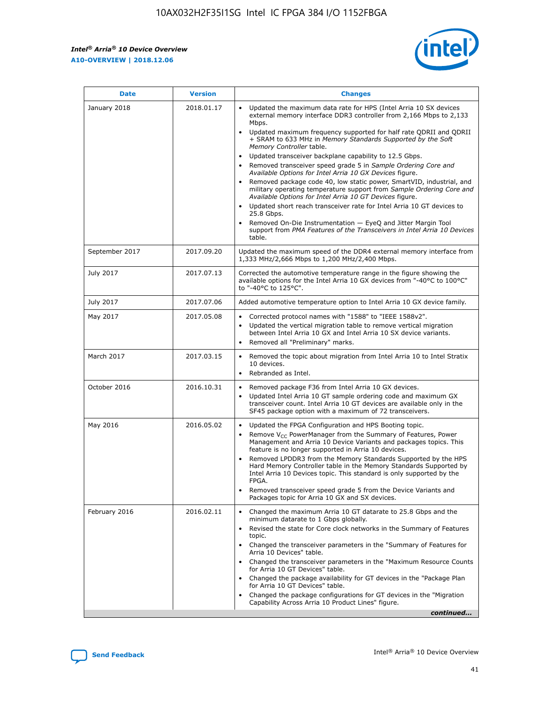*Intel® Arria® 10 Device Overview* **A10-OVERVIEW | 2018.12.06**



| <b>Date</b>    | <b>Version</b> | <b>Changes</b>                                                                                                                                                                                                                                                                                                                                                                                                                                                                                                                                                                                                                                                                                                                                                                                                                                                                                                                                                            |
|----------------|----------------|---------------------------------------------------------------------------------------------------------------------------------------------------------------------------------------------------------------------------------------------------------------------------------------------------------------------------------------------------------------------------------------------------------------------------------------------------------------------------------------------------------------------------------------------------------------------------------------------------------------------------------------------------------------------------------------------------------------------------------------------------------------------------------------------------------------------------------------------------------------------------------------------------------------------------------------------------------------------------|
| January 2018   | 2018.01.17     | Updated the maximum data rate for HPS (Intel Arria 10 SX devices<br>external memory interface DDR3 controller from 2,166 Mbps to 2,133<br>Mbps.<br>Updated maximum frequency supported for half rate QDRII and QDRII<br>+ SRAM to 633 MHz in Memory Standards Supported by the Soft<br>Memory Controller table.<br>Updated transceiver backplane capability to 12.5 Gbps.<br>$\bullet$<br>Removed transceiver speed grade 5 in Sample Ordering Core and<br>Available Options for Intel Arria 10 GX Devices figure.<br>Removed package code 40, low static power, SmartVID, industrial, and<br>military operating temperature support from Sample Ordering Core and<br>Available Options for Intel Arria 10 GT Devices figure.<br>Updated short reach transceiver rate for Intel Arria 10 GT devices to<br>25.8 Gbps.<br>Removed On-Die Instrumentation - EyeQ and Jitter Margin Tool<br>support from PMA Features of the Transceivers in Intel Arria 10 Devices<br>table. |
| September 2017 | 2017.09.20     | Updated the maximum speed of the DDR4 external memory interface from<br>1,333 MHz/2,666 Mbps to 1,200 MHz/2,400 Mbps.                                                                                                                                                                                                                                                                                                                                                                                                                                                                                                                                                                                                                                                                                                                                                                                                                                                     |
| July 2017      | 2017.07.13     | Corrected the automotive temperature range in the figure showing the<br>available options for the Intel Arria 10 GX devices from "-40°C to 100°C"<br>to "-40°C to 125°C".                                                                                                                                                                                                                                                                                                                                                                                                                                                                                                                                                                                                                                                                                                                                                                                                 |
| July 2017      | 2017.07.06     | Added automotive temperature option to Intel Arria 10 GX device family.                                                                                                                                                                                                                                                                                                                                                                                                                                                                                                                                                                                                                                                                                                                                                                                                                                                                                                   |
| May 2017       | 2017.05.08     | Corrected protocol names with "1588" to "IEEE 1588v2".<br>$\bullet$<br>Updated the vertical migration table to remove vertical migration<br>$\bullet$<br>between Intel Arria 10 GX and Intel Arria 10 SX device variants.<br>Removed all "Preliminary" marks.<br>$\bullet$                                                                                                                                                                                                                                                                                                                                                                                                                                                                                                                                                                                                                                                                                                |
| March 2017     | 2017.03.15     | Removed the topic about migration from Intel Arria 10 to Intel Stratix<br>10 devices.<br>Rebranded as Intel.<br>$\bullet$                                                                                                                                                                                                                                                                                                                                                                                                                                                                                                                                                                                                                                                                                                                                                                                                                                                 |
| October 2016   | 2016.10.31     | Removed package F36 from Intel Arria 10 GX devices.<br>Updated Intel Arria 10 GT sample ordering code and maximum GX<br>$\bullet$<br>transceiver count. Intel Arria 10 GT devices are available only in the<br>SF45 package option with a maximum of 72 transceivers.                                                                                                                                                                                                                                                                                                                                                                                                                                                                                                                                                                                                                                                                                                     |
| May 2016       | 2016.05.02     | Updated the FPGA Configuration and HPS Booting topic.<br>$\bullet$<br>Remove V <sub>CC</sub> PowerManager from the Summary of Features, Power<br>Management and Arria 10 Device Variants and packages topics. This<br>feature is no longer supported in Arria 10 devices.<br>Removed LPDDR3 from the Memory Standards Supported by the HPS<br>Hard Memory Controller table in the Memory Standards Supported by<br>Intel Arria 10 Devices topic. This standard is only supported by the<br>FPGA.<br>Removed transceiver speed grade 5 from the Device Variants and<br>Packages topic for Arria 10 GX and SX devices.                                                                                                                                                                                                                                                                                                                                                      |
| February 2016  | 2016.02.11     | Changed the maximum Arria 10 GT datarate to 25.8 Gbps and the<br>minimum datarate to 1 Gbps globally.<br>Revised the state for Core clock networks in the Summary of Features<br>$\bullet$<br>topic.<br>Changed the transceiver parameters in the "Summary of Features for<br>$\bullet$<br>Arria 10 Devices" table.<br>• Changed the transceiver parameters in the "Maximum Resource Counts<br>for Arria 10 GT Devices" table.<br>Changed the package availability for GT devices in the "Package Plan<br>for Arria 10 GT Devices" table.<br>Changed the package configurations for GT devices in the "Migration"<br>Capability Across Arria 10 Product Lines" figure.<br>continued                                                                                                                                                                                                                                                                                       |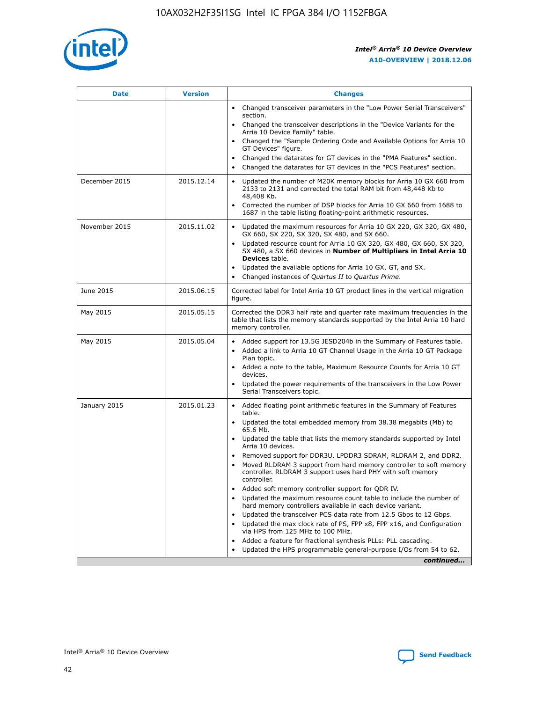

| <b>Date</b>   | <b>Version</b> | <b>Changes</b>                                                                                                                                                                   |
|---------------|----------------|----------------------------------------------------------------------------------------------------------------------------------------------------------------------------------|
|               |                | • Changed transceiver parameters in the "Low Power Serial Transceivers"<br>section.                                                                                              |
|               |                | • Changed the transceiver descriptions in the "Device Variants for the<br>Arria 10 Device Family" table.                                                                         |
|               |                | Changed the "Sample Ordering Code and Available Options for Arria 10<br>GT Devices" figure.                                                                                      |
|               |                | Changed the datarates for GT devices in the "PMA Features" section.                                                                                                              |
|               |                | Changed the datarates for GT devices in the "PCS Features" section.<br>$\bullet$                                                                                                 |
| December 2015 | 2015.12.14     | Updated the number of M20K memory blocks for Arria 10 GX 660 from<br>$\bullet$<br>2133 to 2131 and corrected the total RAM bit from 48,448 Kb to<br>48,408 Kb.                   |
|               |                | Corrected the number of DSP blocks for Arria 10 GX 660 from 1688 to<br>$\bullet$<br>1687 in the table listing floating-point arithmetic resources.                               |
| November 2015 | 2015.11.02     | Updated the maximum resources for Arria 10 GX 220, GX 320, GX 480,<br>$\bullet$<br>GX 660, SX 220, SX 320, SX 480, and SX 660.                                                   |
|               |                | Updated resource count for Arria 10 GX 320, GX 480, GX 660, SX 320,<br>$\bullet$<br>SX 480, a SX 660 devices in Number of Multipliers in Intel Arria 10<br><b>Devices</b> table. |
|               |                | Updated the available options for Arria 10 GX, GT, and SX.<br>$\bullet$                                                                                                          |
|               |                | Changed instances of Quartus II to Quartus Prime.<br>$\bullet$                                                                                                                   |
| June 2015     | 2015.06.15     | Corrected label for Intel Arria 10 GT product lines in the vertical migration<br>figure.                                                                                         |
| May 2015      | 2015.05.15     | Corrected the DDR3 half rate and quarter rate maximum frequencies in the<br>table that lists the memory standards supported by the Intel Arria 10 hard<br>memory controller.     |
| May 2015      | 2015.05.04     | • Added support for 13.5G JESD204b in the Summary of Features table.<br>• Added a link to Arria 10 GT Channel Usage in the Arria 10 GT Package<br>Plan topic.                    |
|               |                | • Added a note to the table, Maximum Resource Counts for Arria 10 GT<br>devices.                                                                                                 |
|               |                | Updated the power requirements of the transceivers in the Low Power<br>Serial Transceivers topic.                                                                                |
| January 2015  | 2015.01.23     | • Added floating point arithmetic features in the Summary of Features<br>table.                                                                                                  |
|               |                | • Updated the total embedded memory from 38.38 megabits (Mb) to<br>65.6 Mb.                                                                                                      |
|               |                | • Updated the table that lists the memory standards supported by Intel<br>Arria 10 devices.                                                                                      |
|               |                | Removed support for DDR3U, LPDDR3 SDRAM, RLDRAM 2, and DDR2.                                                                                                                     |
|               |                | Moved RLDRAM 3 support from hard memory controller to soft memory<br>controller. RLDRAM 3 support uses hard PHY with soft memory<br>controller.                                  |
|               |                | Added soft memory controller support for QDR IV.                                                                                                                                 |
|               |                | Updated the maximum resource count table to include the number of<br>hard memory controllers available in each device variant.                                                   |
|               |                | Updated the transceiver PCS data rate from 12.5 Gbps to 12 Gbps.<br>$\bullet$                                                                                                    |
|               |                | Updated the max clock rate of PS, FPP x8, FPP x16, and Configuration<br>via HPS from 125 MHz to 100 MHz.                                                                         |
|               |                | Added a feature for fractional synthesis PLLs: PLL cascading.                                                                                                                    |
|               |                | Updated the HPS programmable general-purpose I/Os from 54 to 62.                                                                                                                 |
|               |                | continued                                                                                                                                                                        |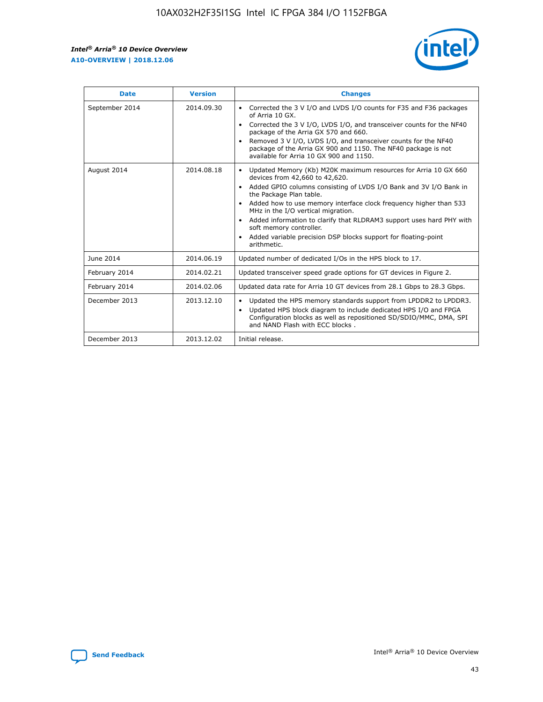r



| <b>Date</b>    | <b>Version</b> | <b>Changes</b>                                                                                                                                                                                                                                                                                                                                                                                                                                                                                                                         |
|----------------|----------------|----------------------------------------------------------------------------------------------------------------------------------------------------------------------------------------------------------------------------------------------------------------------------------------------------------------------------------------------------------------------------------------------------------------------------------------------------------------------------------------------------------------------------------------|
| September 2014 | 2014.09.30     | Corrected the 3 V I/O and LVDS I/O counts for F35 and F36 packages<br>of Arria 10 GX.<br>Corrected the 3 V I/O, LVDS I/O, and transceiver counts for the NF40<br>$\bullet$<br>package of the Arria GX 570 and 660.<br>Removed 3 V I/O, LVDS I/O, and transceiver counts for the NF40<br>package of the Arria GX 900 and 1150. The NF40 package is not<br>available for Arria 10 GX 900 and 1150.                                                                                                                                       |
| August 2014    | 2014.08.18     | Updated Memory (Kb) M20K maximum resources for Arria 10 GX 660<br>devices from 42,660 to 42,620.<br>Added GPIO columns consisting of LVDS I/O Bank and 3V I/O Bank in<br>$\bullet$<br>the Package Plan table.<br>Added how to use memory interface clock frequency higher than 533<br>$\bullet$<br>MHz in the I/O vertical migration.<br>Added information to clarify that RLDRAM3 support uses hard PHY with<br>$\bullet$<br>soft memory controller.<br>Added variable precision DSP blocks support for floating-point<br>arithmetic. |
| June 2014      | 2014.06.19     | Updated number of dedicated I/Os in the HPS block to 17.                                                                                                                                                                                                                                                                                                                                                                                                                                                                               |
| February 2014  | 2014.02.21     | Updated transceiver speed grade options for GT devices in Figure 2.                                                                                                                                                                                                                                                                                                                                                                                                                                                                    |
| February 2014  | 2014.02.06     | Updated data rate for Arria 10 GT devices from 28.1 Gbps to 28.3 Gbps.                                                                                                                                                                                                                                                                                                                                                                                                                                                                 |
| December 2013  | 2013.12.10     | Updated the HPS memory standards support from LPDDR2 to LPDDR3.<br>Updated HPS block diagram to include dedicated HPS I/O and FPGA<br>$\bullet$<br>Configuration blocks as well as repositioned SD/SDIO/MMC, DMA, SPI<br>and NAND Flash with ECC blocks.                                                                                                                                                                                                                                                                               |
| December 2013  | 2013.12.02     | Initial release.                                                                                                                                                                                                                                                                                                                                                                                                                                                                                                                       |